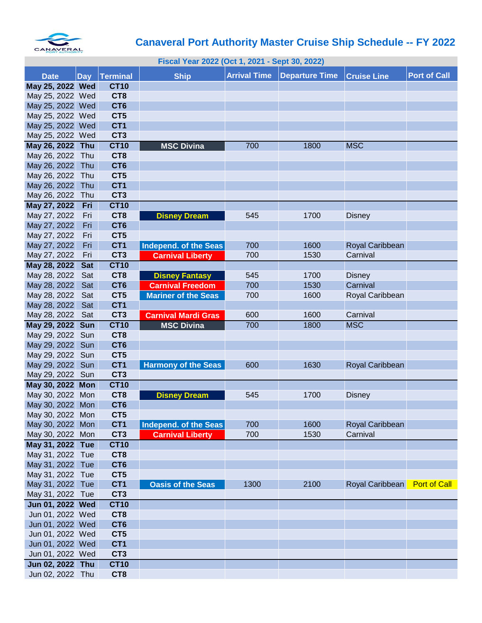

## **Canaveral Port Authority Master Cruise Ship Schedule -- FY 2022**

| Fiscal Year 2022 (Oct 1, 2021 - Sept 30, 2022) |            |                                    |                            |                     |                |                             |                     |  |
|------------------------------------------------|------------|------------------------------------|----------------------------|---------------------|----------------|-----------------------------|---------------------|--|
| <b>Date</b>                                    |            | Day Terminal                       | <b>Ship</b>                | <b>Arrival Time</b> | Departure Time | <b>Cruise Line</b>          | <b>Port of Call</b> |  |
| May 25, 2022 Wed                               |            | <b>CT10</b>                        |                            |                     |                |                             |                     |  |
| May 25, 2022 Wed                               |            | CT <sub>8</sub>                    |                            |                     |                |                             |                     |  |
| May 25, 2022 Wed                               |            | CT <sub>6</sub>                    |                            |                     |                |                             |                     |  |
| May 25, 2022 Wed                               |            | CT5                                |                            |                     |                |                             |                     |  |
| May 25, 2022 Wed                               |            | CT <sub>1</sub>                    |                            |                     |                |                             |                     |  |
| May 25, 2022 Wed                               |            | CT <sub>3</sub>                    |                            |                     |                |                             |                     |  |
| May 26, 2022 Thu                               |            | <b>CT10</b>                        | <b>MSC Divina</b>          | 700                 | 1800           | <b>MSC</b>                  |                     |  |
| May 26, 2022 Thu                               |            | CT <sub>8</sub>                    |                            |                     |                |                             |                     |  |
| May 26, 2022                                   | Thu        | CT <sub>6</sub>                    |                            |                     |                |                             |                     |  |
| May 26, 2022 Thu                               |            | CT5                                |                            |                     |                |                             |                     |  |
| May 26, 2022                                   | Thu        | CT <sub>1</sub>                    |                            |                     |                |                             |                     |  |
| May 26, 2022                                   | Thu        | CT <sub>3</sub>                    |                            |                     |                |                             |                     |  |
| May 27, 2022                                   | Fri        | <b>CT10</b>                        |                            |                     |                |                             |                     |  |
| May 27, 2022                                   | Fri        | CT <sub>8</sub>                    | <b>Disney Dream</b>        | 545                 | 1700           | <b>Disney</b>               |                     |  |
| May 27, 2022                                   | Fri        | CT <sub>6</sub>                    |                            |                     |                |                             |                     |  |
| May 27, 2022                                   | Fri        | CT <sub>5</sub>                    |                            |                     |                |                             |                     |  |
| May 27, 2022                                   | Fri        | CT <sub>1</sub>                    | Independ. of the Seas      | 700                 | 1600           | Royal Caribbean             |                     |  |
| May 27, 2022                                   | Fri        | CT <sub>3</sub>                    | <b>Carnival Liberty</b>    | 700                 | 1530           | Carnival                    |                     |  |
| May 28, 2022                                   | <b>Sat</b> | <b>CT10</b>                        |                            |                     |                |                             |                     |  |
| May 28, 2022                                   | Sat        | CT <sub>8</sub>                    | <b>Disney Fantasy</b>      | 545                 | 1700           | <b>Disney</b>               |                     |  |
| May 28, 2022                                   | Sat        | CT <sub>6</sub>                    | <b>Carnival Freedom</b>    | 700                 | 1530           | Carnival                    |                     |  |
| May 28, 2022                                   | Sat        | CT <sub>5</sub>                    | <b>Mariner of the Seas</b> | 700                 | 1600           | Royal Caribbean             |                     |  |
| May 28, 2022                                   | Sat        | CT <sub>1</sub>                    |                            |                     |                |                             |                     |  |
| May 28, 2022                                   | Sat        | CT <sub>3</sub>                    | <b>Carnival Mardi Gras</b> | 600                 | 1600           | Carnival                    |                     |  |
| May 29, 2022                                   | <b>Sun</b> | <b>CT10</b>                        | <b>MSC Divina</b>          | 700                 | 1800           | <b>MSC</b>                  |                     |  |
| May 29, 2022 Sun                               |            | CT <sub>8</sub>                    |                            |                     |                |                             |                     |  |
| May 29, 2022                                   | Sun        | CT <sub>6</sub>                    |                            |                     |                |                             |                     |  |
| May 29, 2022                                   | Sun        | CT5                                |                            |                     |                |                             |                     |  |
| May 29, 2022                                   | Sun        | CT <sub>1</sub>                    | <b>Harmony of the Seas</b> | 600                 | 1630           | Royal Caribbean             |                     |  |
| May 29, 2022 Sun                               |            | CT <sub>3</sub>                    |                            |                     |                |                             |                     |  |
| May 30, 2022 Mon                               |            | <b>CT10</b>                        |                            |                     |                |                             |                     |  |
| May 30, 2022 Mon                               |            | CT <sub>8</sub>                    | <b>Disney Dream</b>        | 545                 | 1700           | <b>Disney</b>               |                     |  |
| May 30, 2022 Mon                               |            | CT <sub>6</sub>                    |                            |                     |                |                             |                     |  |
| May 30, 2022 Mon                               |            | CT5                                |                            |                     |                |                             |                     |  |
| May 30, 2022 Mon                               |            | CT <sub>1</sub><br>CT <sub>3</sub> | Independ. of the Seas      | 700<br>700          | 1600           | Royal Caribbean<br>Carnival |                     |  |
| May 30, 2022 Mon                               |            |                                    | <b>Carnival Liberty</b>    |                     | 1530           |                             |                     |  |
| May 31, 2022 Tue                               |            | <b>CT10</b><br>CT8                 |                            |                     |                |                             |                     |  |
| May 31, 2022 Tue<br>May 31, 2022 Tue           |            | CT <sub>6</sub>                    |                            |                     |                |                             |                     |  |
| May 31, 2022 Tue                               |            | CT <sub>5</sub>                    |                            |                     |                |                             |                     |  |
| May 31, 2022 Tue                               |            | CT <sub>1</sub>                    | <b>Oasis of the Seas</b>   | 1300                | 2100           | Royal Caribbean             | <b>Port of Call</b> |  |
| May 31, 2022 Tue                               |            | CT <sub>3</sub>                    |                            |                     |                |                             |                     |  |
| Jun 01, 2022 Wed                               |            | <b>CT10</b>                        |                            |                     |                |                             |                     |  |
| Jun 01, 2022 Wed                               |            | CT8                                |                            |                     |                |                             |                     |  |
| Jun 01, 2022 Wed                               |            | CT <sub>6</sub>                    |                            |                     |                |                             |                     |  |
| Jun 01, 2022 Wed                               |            | CT <sub>5</sub>                    |                            |                     |                |                             |                     |  |
| Jun 01, 2022 Wed                               |            | CT <sub>1</sub>                    |                            |                     |                |                             |                     |  |
| Jun 01, 2022 Wed                               |            | CT <sub>3</sub>                    |                            |                     |                |                             |                     |  |
| Jun 02, 2022 Thu                               |            | <b>CT10</b>                        |                            |                     |                |                             |                     |  |
| Jun 02, 2022 Thu                               |            | CT <sub>8</sub>                    |                            |                     |                |                             |                     |  |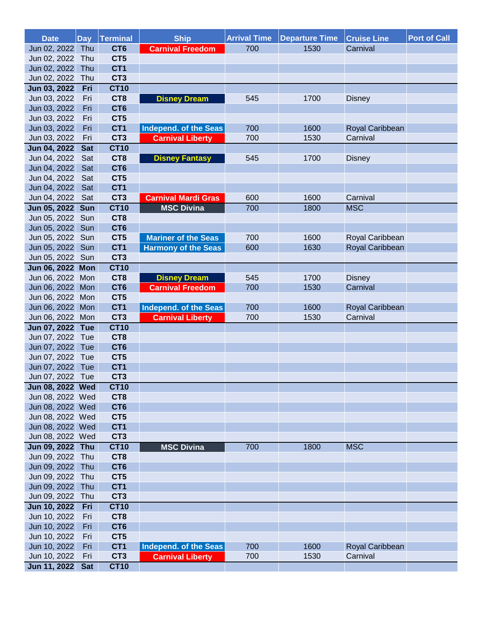| <b>Date</b>                  | <b>Day</b> | Terminal                           | <b>Ship</b>                | <b>Arrival Time</b> | <b>Departure Time</b> | <b>Cruise Line</b> | <b>Port of Call</b> |
|------------------------------|------------|------------------------------------|----------------------------|---------------------|-----------------------|--------------------|---------------------|
| Jun 02, 2022                 | Thu        | CT <sub>6</sub>                    | <b>Carnival Freedom</b>    | 700                 | 1530                  | Carnival           |                     |
| Jun 02, 2022 Thu             |            | CT5                                |                            |                     |                       |                    |                     |
| Jun 02, 2022                 | Thu        | CT <sub>1</sub>                    |                            |                     |                       |                    |                     |
| Jun 02, 2022                 | Thu        | CT <sub>3</sub>                    |                            |                     |                       |                    |                     |
| Jun 03, 2022                 | Fri        | <b>CT10</b>                        |                            |                     |                       |                    |                     |
| Jun 03, 2022                 | Fri        | CT <sub>8</sub>                    | <b>Disney Dream</b>        | 545                 | 1700                  | <b>Disney</b>      |                     |
| Jun 03, 2022                 | Fri        | CT <sub>6</sub>                    |                            |                     |                       |                    |                     |
| Jun 03, 2022                 | Fri        | CT5                                |                            |                     |                       |                    |                     |
| Jun 03, 2022                 | Fri        | CT <sub>1</sub>                    | Independ. of the Seas      | 700                 | 1600                  | Royal Caribbean    |                     |
| Jun 03, 2022                 | Fri        | CT <sub>3</sub>                    | <b>Carnival Liberty</b>    | 700                 | 1530                  | Carnival           |                     |
| Jun 04, 2022                 | <b>Sat</b> | <b>CT10</b>                        |                            |                     |                       |                    |                     |
| Jun 04, 2022                 | Sat        | CT8                                | <b>Disney Fantasy</b>      | 545                 | 1700                  | <b>Disney</b>      |                     |
| Jun 04, 2022                 | Sat        | CT <sub>6</sub>                    |                            |                     |                       |                    |                     |
| Jun 04, 2022                 | Sat        | CT5                                |                            |                     |                       |                    |                     |
| Jun 04, 2022                 | Sat        | CT <sub>1</sub>                    |                            |                     |                       |                    |                     |
| Jun 04, 2022                 | Sat        | CT <sub>3</sub>                    | <b>Carnival Mardi Gras</b> | 600                 | 1600                  | Carnival           |                     |
| Jun 05, 2022                 | <b>Sun</b> | <b>CT10</b>                        | <b>MSC Divina</b>          | 700                 | 1800                  | <b>MSC</b>         |                     |
| Jun 05, 2022 Sun             |            | CT8                                |                            |                     |                       |                    |                     |
| Jun 05, 2022                 | Sun        | CT <sub>6</sub>                    |                            |                     |                       |                    |                     |
| Jun 05, 2022 Sun             |            | CT5                                | <b>Mariner of the Seas</b> | 700                 | 1600                  | Royal Caribbean    |                     |
| Jun 05, 2022 Sun             |            | CT <sub>1</sub>                    | <b>Harmony of the Seas</b> | 600                 | 1630                  | Royal Caribbean    |                     |
| Jun 05, 2022 Sun             |            | CT <sub>3</sub>                    |                            |                     |                       |                    |                     |
| Jun 06, 2022 Mon             |            | <b>CT10</b>                        |                            |                     |                       |                    |                     |
| Jun 06, 2022 Mon             |            | CT <sub>8</sub>                    | <b>Disney Dream</b>        | 545                 | 1700                  | <b>Disney</b>      |                     |
| Jun 06, 2022 Mon             |            | CT <sub>6</sub>                    | <b>Carnival Freedom</b>    | 700                 | 1530                  | Carnival           |                     |
| Jun 06, 2022 Mon             |            | CT <sub>5</sub>                    |                            |                     |                       |                    |                     |
| Jun 06, 2022 Mon             |            | CT <sub>1</sub>                    | Independ. of the Seas      | 700                 | 1600                  | Royal Caribbean    |                     |
| Jun 06, 2022 Mon             |            | CT <sub>3</sub>                    | <b>Carnival Liberty</b>    | 700                 | 1530                  | Carnival           |                     |
| Jun 07, 2022 Tue             |            | <b>CT10</b>                        |                            |                     |                       |                    |                     |
| Jun 07, 2022<br>Jun 07, 2022 | Tue<br>Tue | CT <sub>8</sub><br>CT <sub>6</sub> |                            |                     |                       |                    |                     |
| Jun 07, 2022 Tue             |            | CT5                                |                            |                     |                       |                    |                     |
| Jun 07, 2022 Tue             |            | CT <sub>1</sub>                    |                            |                     |                       |                    |                     |
| Jun 07, 2022 Tue             |            | CT <sub>3</sub>                    |                            |                     |                       |                    |                     |
| Jun 08, 2022 Wed             |            | <b>CT10</b>                        |                            |                     |                       |                    |                     |
| Jun 08, 2022 Wed             |            | CT <sub>8</sub>                    |                            |                     |                       |                    |                     |
| Jun 08, 2022 Wed             |            | CT <sub>6</sub>                    |                            |                     |                       |                    |                     |
| Jun 08, 2022 Wed             |            | CT5                                |                            |                     |                       |                    |                     |
| Jun 08, 2022 Wed             |            | CT <sub>1</sub>                    |                            |                     |                       |                    |                     |
| Jun 08, 2022 Wed             |            | CT <sub>3</sub>                    |                            |                     |                       |                    |                     |
| Jun 09, 2022 Thu             |            | <b>CT10</b>                        | <b>MSC Divina</b>          | 700                 | 1800                  | <b>MSC</b>         |                     |
| Jun 09, 2022 Thu             |            | CT <sub>8</sub>                    |                            |                     |                       |                    |                     |
| Jun 09, 2022                 | Thu        | CT <sub>6</sub>                    |                            |                     |                       |                    |                     |
| Jun 09, 2022                 | Thu        | CT5                                |                            |                     |                       |                    |                     |
| Jun 09, 2022                 | Thu        | CT <sub>1</sub>                    |                            |                     |                       |                    |                     |
| Jun 09, 2022                 | Thu        | CT <sub>3</sub>                    |                            |                     |                       |                    |                     |
| Jun 10, 2022                 | Fri        | <b>CT10</b>                        |                            |                     |                       |                    |                     |
| Jun 10, 2022                 | Fri        | CT <sub>8</sub>                    |                            |                     |                       |                    |                     |
| Jun 10, 2022                 | Fri        | CT <sub>6</sub>                    |                            |                     |                       |                    |                     |
| Jun 10, 2022                 | Fri        | CT <sub>5</sub>                    |                            |                     |                       |                    |                     |
| Jun 10, 2022                 | Fri        | CT <sub>1</sub>                    | Independ. of the Seas      | 700                 | 1600                  | Royal Caribbean    |                     |
| Jun 10, 2022                 | Fri        | CT <sub>3</sub>                    | <b>Carnival Liberty</b>    | 700                 | 1530                  | Carnival           |                     |
| Jun 11, 2022 Sat             |            | <b>CT10</b>                        |                            |                     |                       |                    |                     |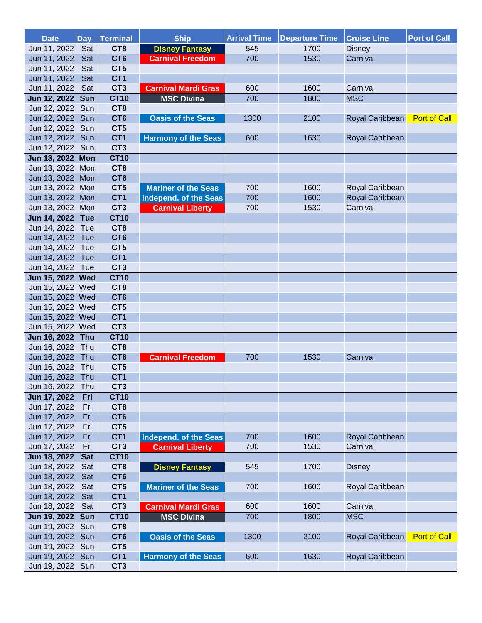| <b>Date</b>                          |            | Day Terminal                       | <b>Ship</b>                | <b>Arrival Time</b> | <b>Departure Time</b> | <b>Cruise Line</b> | <b>Port of Call</b> |
|--------------------------------------|------------|------------------------------------|----------------------------|---------------------|-----------------------|--------------------|---------------------|
| Jun 11, 2022                         | Sat        | CT <sub>8</sub>                    | <b>Disney Fantasy</b>      | 545                 | 1700                  | <b>Disney</b>      |                     |
| Jun 11, 2022                         | Sat        | CT <sub>6</sub>                    | <b>Carnival Freedom</b>    | 700                 | 1530                  | Carnival           |                     |
| Jun 11, 2022                         | Sat        | CT5                                |                            |                     |                       |                    |                     |
| Jun 11, 2022                         | Sat        | CT <sub>1</sub>                    |                            |                     |                       |                    |                     |
| Jun 11, 2022                         | Sat        | CT <sub>3</sub>                    | <b>Carnival Mardi Gras</b> | 600                 | 1600                  | Carnival           |                     |
| Jun 12, 2022 Sun                     |            | <b>CT10</b>                        | <b>MSC Divina</b>          | 700                 | 1800                  | <b>MSC</b>         |                     |
| Jun 12, 2022 Sun                     |            | CT <sub>8</sub>                    |                            |                     |                       |                    |                     |
| Jun 12, 2022 Sun                     |            | CT <sub>6</sub>                    | <b>Oasis of the Seas</b>   | 1300                | 2100                  | Royal Caribbean    | <b>Port of Call</b> |
| Jun 12, 2022 Sun                     |            | CT <sub>5</sub>                    |                            |                     |                       |                    |                     |
| Jun 12, 2022 Sun                     |            | CT <sub>1</sub>                    | <b>Harmony of the Seas</b> | 600                 | 1630                  | Royal Caribbean    |                     |
| Jun 12, 2022 Sun                     |            | CT <sub>3</sub>                    |                            |                     |                       |                    |                     |
| Jun 13, 2022 Mon                     |            | <b>CT10</b>                        |                            |                     |                       |                    |                     |
| Jun 13, 2022 Mon                     |            | CT <sub>8</sub>                    |                            |                     |                       |                    |                     |
| Jun 13, 2022 Mon                     |            | CT <sub>6</sub>                    |                            |                     |                       |                    |                     |
| Jun 13, 2022 Mon                     |            | CT5                                | <b>Mariner of the Seas</b> | 700                 | 1600                  | Royal Caribbean    |                     |
| Jun 13, 2022 Mon                     |            | CT <sub>1</sub>                    | Independ. of the Seas      | 700                 | 1600                  | Royal Caribbean    |                     |
| Jun 13, 2022 Mon                     |            | CT <sub>3</sub>                    | <b>Carnival Liberty</b>    | 700                 | 1530                  | Carnival           |                     |
| Jun 14, 2022 Tue                     |            | <b>CT10</b>                        |                            |                     |                       |                    |                     |
| Jun 14, 2022 Tue                     |            | CT8                                |                            |                     |                       |                    |                     |
| Jun 14, 2022 Tue                     |            | CT <sub>6</sub>                    |                            |                     |                       |                    |                     |
| Jun 14, 2022 Tue                     |            | CT5                                |                            |                     |                       |                    |                     |
| Jun 14, 2022 Tue                     |            | CT <sub>1</sub>                    |                            |                     |                       |                    |                     |
| Jun 14, 2022 Tue                     |            | CT <sub>3</sub>                    |                            |                     |                       |                    |                     |
| Jun 15, 2022 Wed                     |            | <b>CT10</b>                        |                            |                     |                       |                    |                     |
| Jun 15, 2022 Wed                     |            | CT <sub>8</sub><br>CT <sub>6</sub> |                            |                     |                       |                    |                     |
| Jun 15, 2022 Wed<br>Jun 15, 2022 Wed |            | CT <sub>5</sub>                    |                            |                     |                       |                    |                     |
| Jun 15, 2022 Wed                     |            | CT <sub>1</sub>                    |                            |                     |                       |                    |                     |
| Jun 15, 2022 Wed                     |            | CT <sub>3</sub>                    |                            |                     |                       |                    |                     |
| Jun 16, 2022 Thu                     |            | <b>CT10</b>                        |                            |                     |                       |                    |                     |
| Jun 16, 2022 Thu                     |            | CT <sub>8</sub>                    |                            |                     |                       |                    |                     |
| Jun 16, 2022 Thu                     |            | CT <sub>6</sub>                    | <b>Carnival Freedom</b>    | 700                 | 1530                  | Carnival           |                     |
| Jun 16, 2022 Thu                     |            | CT5                                |                            |                     |                       |                    |                     |
| Jun 16, 2022 Thu                     |            | CT <sub>1</sub>                    |                            |                     |                       |                    |                     |
| Jun 16, 2022                         | Thu        | CT <sub>3</sub>                    |                            |                     |                       |                    |                     |
| Jun 17, 2022                         | Fri        | <b>CT10</b>                        |                            |                     |                       |                    |                     |
| Jun 17, 2022                         | Fri        | CT <sub>8</sub>                    |                            |                     |                       |                    |                     |
| Jun 17, 2022                         | Fri        | CT <sub>6</sub>                    |                            |                     |                       |                    |                     |
| Jun 17, 2022                         | Fri        | CT <sub>5</sub>                    |                            |                     |                       |                    |                     |
| Jun 17, 2022                         | Fri        | CT <sub>1</sub>                    | Independ. of the Seas      | 700                 | 1600                  | Royal Caribbean    |                     |
| Jun 17, 2022                         | Fri        | CT <sub>3</sub>                    | <b>Carnival Liberty</b>    | 700                 | 1530                  | Carnival           |                     |
| Jun 18, 2022                         | <b>Sat</b> | <b>CT10</b>                        |                            |                     |                       |                    |                     |
| Jun 18, 2022                         | Sat        | CT <sub>8</sub>                    | <b>Disney Fantasy</b>      | 545                 | 1700                  | <b>Disney</b>      |                     |
| Jun 18, 2022                         | Sat        | CT <sub>6</sub>                    |                            |                     |                       |                    |                     |
| Jun 18, 2022                         | Sat        | CT5                                | <b>Mariner of the Seas</b> | 700                 | 1600                  | Royal Caribbean    |                     |
| Jun 18, 2022                         | Sat        | CT <sub>1</sub>                    |                            |                     |                       |                    |                     |
| Jun 18, 2022                         | Sat        | CT <sub>3</sub>                    | <b>Carnival Mardi Gras</b> | 600                 | 1600                  | Carnival           |                     |
| Jun 19, 2022 Sun                     |            | <b>CT10</b>                        | <b>MSC Divina</b>          | 700                 | 1800                  | <b>MSC</b>         |                     |
| Jun 19, 2022                         | Sun        | CT <sub>8</sub>                    |                            |                     |                       |                    |                     |
| Jun 19, 2022                         | Sun        | CT <sub>6</sub>                    | <b>Oasis of the Seas</b>   | 1300                | 2100                  | Royal Caribbean    | <b>Port of Call</b> |
| Jun 19, 2022                         | Sun        | CT5                                |                            |                     |                       |                    |                     |
| Jun 19, 2022                         | Sun        | CT <sub>1</sub>                    | <b>Harmony of the Seas</b> | 600                 | 1630                  | Royal Caribbean    |                     |
| Jun 19, 2022                         | Sun        | CT <sub>3</sub>                    |                            |                     |                       |                    |                     |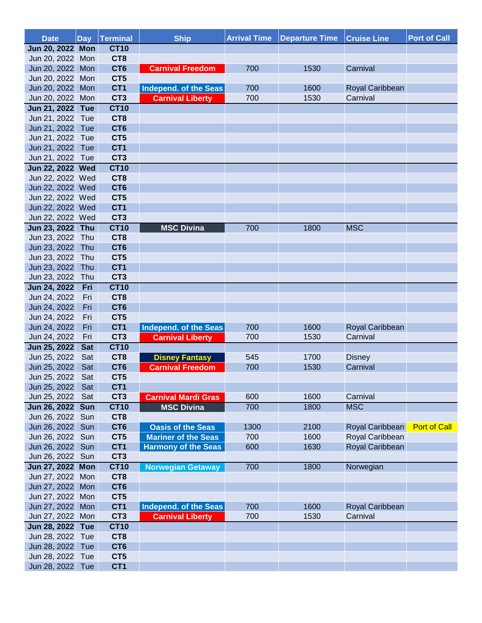| <b>Date</b>                          | <b>Day</b> | Terminal                           | <b>Ship</b>                  | <b>Arrival Time</b> | <b>Departure Time</b> | <b>Cruise Line</b> | <b>Port of Call</b> |
|--------------------------------------|------------|------------------------------------|------------------------------|---------------------|-----------------------|--------------------|---------------------|
| Jun 20, 2022 Mon                     |            | <b>CT10</b>                        |                              |                     |                       |                    |                     |
| Jun 20, 2022 Mon                     |            | CT <sub>8</sub>                    |                              |                     |                       |                    |                     |
| Jun 20, 2022 Mon                     |            | CT <sub>6</sub>                    | <b>Carnival Freedom</b>      | 700                 | 1530                  | Carnival           |                     |
| Jun 20, 2022 Mon                     |            | CT5                                |                              |                     |                       |                    |                     |
| Jun 20, 2022 Mon                     |            | CT <sub>1</sub>                    | <b>Independ. of the Seas</b> | 700                 | 1600                  | Royal Caribbean    |                     |
| Jun 20, 2022 Mon                     |            | CT <sub>3</sub>                    | <b>Carnival Liberty</b>      | 700                 | 1530                  | Carnival           |                     |
| Jun 21, 2022 Tue                     |            | <b>CT10</b>                        |                              |                     |                       |                    |                     |
| Jun 21, 2022 Tue                     |            | CT <sub>8</sub>                    |                              |                     |                       |                    |                     |
| Jun 21, 2022 Tue                     |            | CT <sub>6</sub>                    |                              |                     |                       |                    |                     |
| Jun 21, 2022 Tue                     |            | CT5                                |                              |                     |                       |                    |                     |
| Jun 21, 2022 Tue                     |            | CT <sub>1</sub>                    |                              |                     |                       |                    |                     |
| Jun 21, 2022 Tue                     |            | CT <sub>3</sub>                    |                              |                     |                       |                    |                     |
| Jun 22, 2022 Wed                     |            | <b>CT10</b>                        |                              |                     |                       |                    |                     |
| Jun 22, 2022 Wed                     |            | CT <sub>8</sub><br>CT <sub>6</sub> |                              |                     |                       |                    |                     |
| Jun 22, 2022 Wed                     |            | CT5                                |                              |                     |                       |                    |                     |
| Jun 22, 2022 Wed<br>Jun 22, 2022 Wed |            | CT <sub>1</sub>                    |                              |                     |                       |                    |                     |
| Jun 22, 2022 Wed                     |            | CT <sub>3</sub>                    |                              |                     |                       |                    |                     |
| Jun 23, 2022 Thu                     |            | <b>CT10</b>                        | <b>MSC Divina</b>            | 700                 | 1800                  | <b>MSC</b>         |                     |
| Jun 23, 2022 Thu                     |            | CT <sub>8</sub>                    |                              |                     |                       |                    |                     |
| Jun 23, 2022                         | Thu        | CT <sub>6</sub>                    |                              |                     |                       |                    |                     |
| Jun 23, 2022 Thu                     |            | CT5                                |                              |                     |                       |                    |                     |
| Jun 23, 2022                         | Thu        | CT <sub>1</sub>                    |                              |                     |                       |                    |                     |
| Jun 23, 2022                         | Thu        | CT <sub>3</sub>                    |                              |                     |                       |                    |                     |
| Jun 24, 2022                         | Fri        | <b>CT10</b>                        |                              |                     |                       |                    |                     |
| Jun 24, 2022                         | Fri        | CT <sub>8</sub>                    |                              |                     |                       |                    |                     |
| Jun 24, 2022                         | Fri        | CT <sub>6</sub>                    |                              |                     |                       |                    |                     |
| Jun 24, 2022                         | Fri        | CT5                                |                              |                     |                       |                    |                     |
| Jun 24, 2022                         | Fri        | CT <sub>1</sub>                    | Independ. of the Seas        | 700                 | 1600                  | Royal Caribbean    |                     |
| Jun 24, 2022                         | Fri        | CT <sub>3</sub>                    | <b>Carnival Liberty</b>      | 700                 | 1530                  | Carnival           |                     |
| Jun 25, 2022                         | <b>Sat</b> | <b>CT10</b>                        |                              |                     |                       |                    |                     |
| Jun 25, 2022                         | Sat        | CT <sub>8</sub>                    | <b>Disney Fantasy</b>        | 545                 | 1700                  | <b>Disney</b>      |                     |
| Jun 25, 2022                         | Sat        | CT <sub>6</sub>                    | <b>Carnival Freedom</b>      | 700                 | 1530                  | Carnival           |                     |
| Jun 25, 2022                         | Sat        | CT5                                |                              |                     |                       |                    |                     |
| Jun 25, 2022                         | Sat        | CT <sub>1</sub>                    |                              |                     |                       |                    |                     |
| Jun 25, 2022                         | Sat        | CT <sub>3</sub>                    | <b>Carnival Mardi Gras</b>   | 600                 | 1600                  | Carnival           |                     |
| Jun 26, 2022 Sun                     |            | <b>CT10</b>                        | <b>MSC Divina</b>            | 700                 | 1800                  | <b>MSC</b>         |                     |
| Jun 26, 2022 Sun                     |            | CT <sub>8</sub>                    |                              |                     |                       |                    |                     |
| Jun 26, 2022 Sun                     |            | CT <sub>6</sub>                    | <b>Oasis of the Seas</b>     | 1300                | 2100                  | Royal Caribbean    | <b>Port of Call</b> |
| Jun 26, 2022 Sun                     |            | CT <sub>5</sub>                    | <b>Mariner of the Seas</b>   | 700                 | 1600                  | Royal Caribbean    |                     |
| Jun 26, 2022                         | Sun        | CT <sub>1</sub>                    | <b>Harmony of the Seas</b>   | 600                 | 1630                  | Royal Caribbean    |                     |
| Jun 26, 2022 Sun                     |            | CT <sub>3</sub>                    |                              |                     |                       |                    |                     |
| Jun 27, 2022 Mon                     |            | <b>CT10</b>                        | <b>Norwegian Getaway</b>     | 700                 | 1800                  | Norwegian          |                     |
| Jun 27, 2022 Mon                     |            | CT <sub>8</sub>                    |                              |                     |                       |                    |                     |
| Jun 27, 2022 Mon<br>Jun 27, 2022 Mon |            | CT <sub>6</sub><br>CT <sub>5</sub> |                              |                     |                       |                    |                     |
| Jun 27, 2022 Mon                     |            | CT <sub>1</sub>                    | Independ. of the Seas        | 700                 | 1600                  | Royal Caribbean    |                     |
| Jun 27, 2022 Mon                     |            | CT <sub>3</sub>                    | <b>Carnival Liberty</b>      | 700                 | 1530                  | Carnival           |                     |
| Jun 28, 2022 Tue                     |            | <b>CT10</b>                        |                              |                     |                       |                    |                     |
| Jun 28, 2022 Tue                     |            | CT <sub>8</sub>                    |                              |                     |                       |                    |                     |
| Jun 28, 2022 Tue                     |            | CT <sub>6</sub>                    |                              |                     |                       |                    |                     |
| Jun 28, 2022                         | Tue        | CT <sub>5</sub>                    |                              |                     |                       |                    |                     |
| Jun 28, 2022                         | Tue        | CT <sub>1</sub>                    |                              |                     |                       |                    |                     |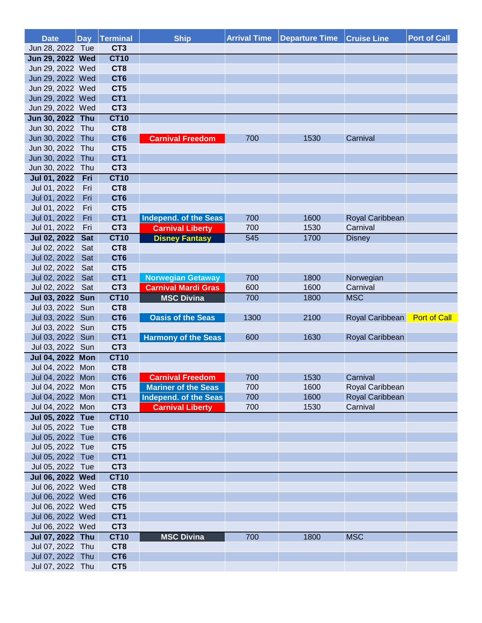| <b>Date</b>         | <b>Day</b> | <b>Terminal</b> | <b>Ship</b>                | <b>Arrival Time</b> | <b>Departure Time</b> | <b>Cruise Line</b> | <b>Port of Call</b> |
|---------------------|------------|-----------------|----------------------------|---------------------|-----------------------|--------------------|---------------------|
| Jun 28, 2022 Tue    |            | CT <sub>3</sub> |                            |                     |                       |                    |                     |
| Jun 29, 2022 Wed    |            | <b>CT10</b>     |                            |                     |                       |                    |                     |
| Jun 29, 2022 Wed    |            | CT <sub>8</sub> |                            |                     |                       |                    |                     |
| Jun 29, 2022 Wed    |            | CT <sub>6</sub> |                            |                     |                       |                    |                     |
| Jun 29, 2022 Wed    |            | CT5             |                            |                     |                       |                    |                     |
| Jun 29, 2022 Wed    |            | CT <sub>1</sub> |                            |                     |                       |                    |                     |
| Jun 29, 2022 Wed    |            | CT <sub>3</sub> |                            |                     |                       |                    |                     |
| Jun 30, 2022 Thu    |            | <b>CT10</b>     |                            |                     |                       |                    |                     |
| Jun 30, 2022 Thu    |            | CT <sub>8</sub> |                            |                     |                       |                    |                     |
| Jun 30, 2022        | Thu        | CT <sub>6</sub> | <b>Carnival Freedom</b>    | 700                 | 1530                  | Carnival           |                     |
| Jun 30, 2022        | Thu        | CT5             |                            |                     |                       |                    |                     |
| Jun 30, 2022        | Thu        | CT <sub>1</sub> |                            |                     |                       |                    |                     |
| Jun 30, 2022        | Thu        | CT <sub>3</sub> |                            |                     |                       |                    |                     |
| Jul 01, 2022        | Fri        | <b>CT10</b>     |                            |                     |                       |                    |                     |
| Jul 01, 2022        | Fri        | CT <sub>8</sub> |                            |                     |                       |                    |                     |
| Jul 01, 2022        | Fri        | CT <sub>6</sub> |                            |                     |                       |                    |                     |
| Jul 01, 2022        | Fri        | CT5             |                            |                     |                       |                    |                     |
| Jul 01, 2022        | Fri        | CT <sub>1</sub> | Independ. of the Seas      | 700                 | 1600                  | Royal Caribbean    |                     |
| Jul 01, 2022        | Fri        | CT <sub>3</sub> | <b>Carnival Liberty</b>    | 700                 | 1530                  | Carnival           |                     |
| <b>Jul 02, 2022</b> | <b>Sat</b> | <b>CT10</b>     | <b>Disney Fantasy</b>      | 545                 | 1700                  | <b>Disney</b>      |                     |
| Jul 02, 2022        | Sat        | CT8             |                            |                     |                       |                    |                     |
| Jul 02, 2022        | Sat        | CT <sub>6</sub> |                            |                     |                       |                    |                     |
| Jul 02, 2022        | Sat        | CT5             |                            |                     |                       |                    |                     |
| Jul 02, 2022        | Sat        | CT1             | <b>Norwegian Getaway</b>   | 700                 | 1800                  | Norwegian          |                     |
| Jul 02, 2022        | Sat        | CT <sub>3</sub> | <b>Carnival Mardi Gras</b> | 600                 | 1600                  | Carnival           |                     |
| Jul 03, 2022        | <b>Sun</b> | <b>CT10</b>     | <b>MSC Divina</b>          | 700                 | 1800                  | <b>MSC</b>         |                     |
| Jul 03, 2022        | Sun        | CT <sub>8</sub> |                            |                     |                       |                    |                     |
| Jul 03, 2022        | Sun        | CT <sub>6</sub> | <b>Oasis of the Seas</b>   | 1300                | 2100                  | Royal Caribbean    | <b>Port of Call</b> |
| Jul 03, 2022        | Sun        | CT5             |                            |                     |                       |                    |                     |
| Jul 03, 2022        | Sun        | CT <sub>1</sub> | <b>Harmony of the Seas</b> | 600                 | 1630                  | Royal Caribbean    |                     |
| Jul 03, 2022 Sun    |            | CT <sub>3</sub> |                            |                     |                       |                    |                     |
| Jul 04, 2022 Mon    |            | <b>CT10</b>     |                            |                     |                       |                    |                     |
| Jul 04, 2022 Mon    |            | CT <sub>8</sub> |                            |                     |                       |                    |                     |
| Jul 04, 2022        | Mon        | CT <sub>6</sub> | <b>Carnival Freedom</b>    | 700                 | 1530                  | Carnival           |                     |
| Jul 04, 2022 Mon    |            | CT5             | <b>Mariner of the Seas</b> | 700                 | 1600                  | Royal Caribbean    |                     |
| Jul 04, 2022 Mon    |            | CT <sub>1</sub> | Independ. of the Seas      | 700                 | 1600                  | Royal Caribbean    |                     |
| Jul 04, 2022 Mon    |            | CT <sub>3</sub> | <b>Carnival Liberty</b>    | 700                 | 1530                  | Carnival           |                     |
| Jul 05, 2022 Tue    |            | <b>CT10</b>     |                            |                     |                       |                    |                     |
| Jul 05, 2022 Tue    |            | CT <sub>8</sub> |                            |                     |                       |                    |                     |
| Jul 05, 2022 Tue    |            | CT <sub>6</sub> |                            |                     |                       |                    |                     |
| Jul 05, 2022 Tue    |            | CT5             |                            |                     |                       |                    |                     |
| Jul 05, 2022 Tue    |            | CT <sub>1</sub> |                            |                     |                       |                    |                     |
| Jul 05, 2022 Tue    |            | CT <sub>3</sub> |                            |                     |                       |                    |                     |
| Jul 06, 2022 Wed    |            | <b>CT10</b>     |                            |                     |                       |                    |                     |
| Jul 06, 2022 Wed    |            | CT <sub>8</sub> |                            |                     |                       |                    |                     |
| Jul 06, 2022 Wed    |            | CT <sub>6</sub> |                            |                     |                       |                    |                     |
| Jul 06, 2022 Wed    |            | CT5             |                            |                     |                       |                    |                     |
| Jul 06, 2022 Wed    |            | CT <sub>1</sub> |                            |                     |                       |                    |                     |
| Jul 06, 2022 Wed    |            | CT <sub>3</sub> |                            |                     |                       |                    |                     |
| Jul 07, 2022 Thu    |            | <b>CT10</b>     | <b>MSC Divina</b>          | 700                 | 1800                  | <b>MSC</b>         |                     |
| Jul 07, 2022 Thu    |            | CT8             |                            |                     |                       |                    |                     |
| Jul 07, 2022        | Thu        | CT <sub>6</sub> |                            |                     |                       |                    |                     |
| Jul 07, 2022 Thu    |            | CT5             |                            |                     |                       |                    |                     |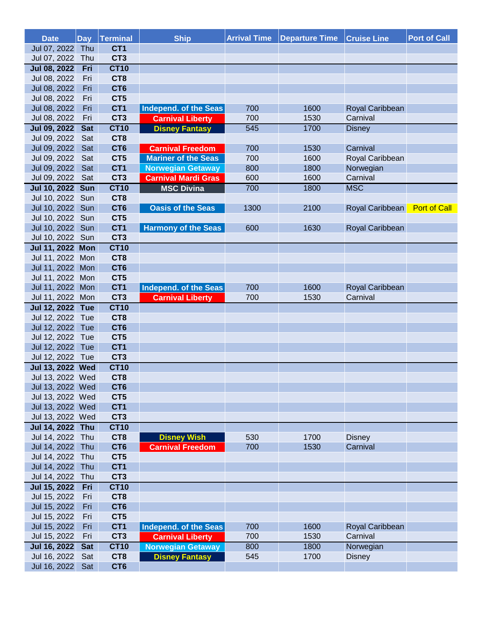| <b>Date</b>         |            | Day Terminal    | <b>Ship</b>                | <b>Arrival Time</b> | <b>Departure Time</b> | <b>Cruise Line</b> | <b>Port of Call</b> |
|---------------------|------------|-----------------|----------------------------|---------------------|-----------------------|--------------------|---------------------|
| Jul 07, 2022        | Thu        | CT <sub>1</sub> |                            |                     |                       |                    |                     |
| Jul 07, 2022        | Thu        | CT <sub>3</sub> |                            |                     |                       |                    |                     |
| <b>Jul 08, 2022</b> | Fri        | <b>CT10</b>     |                            |                     |                       |                    |                     |
| Jul 08, 2022        | Fri        | CT <sub>8</sub> |                            |                     |                       |                    |                     |
| Jul 08, 2022        | Fri        | CT <sub>6</sub> |                            |                     |                       |                    |                     |
| Jul 08, 2022        | Fri        | CT <sub>5</sub> |                            |                     |                       |                    |                     |
| Jul 08, 2022        | Fri        | CT <sub>1</sub> | Independ. of the Seas      | 700                 | 1600                  | Royal Caribbean    |                     |
| Jul 08, 2022        | Fri        | CT <sub>3</sub> | <b>Carnival Liberty</b>    | 700                 | 1530                  | Carnival           |                     |
| <b>Jul 09, 2022</b> | <b>Sat</b> | <b>CT10</b>     | <b>Disney Fantasy</b>      | 545                 | 1700                  | <b>Disney</b>      |                     |
| Jul 09, 2022        | Sat        | CT <sub>8</sub> |                            |                     |                       |                    |                     |
| Jul 09, 2022        | Sat        | CT <sub>6</sub> | <b>Carnival Freedom</b>    | 700                 | 1530                  | Carnival           |                     |
| Jul 09, 2022        | Sat        | CT5             | <b>Mariner of the Seas</b> | 700                 | 1600                  | Royal Caribbean    |                     |
| Jul 09, 2022        | Sat        | CT <sub>1</sub> | <b>Norwegian Getaway</b>   | 800                 | 1800                  | Norwegian          |                     |
| Jul 09, 2022        | Sat        | CT <sub>3</sub> | <b>Carnival Mardi Gras</b> | 600                 | 1600                  | Carnival           |                     |
| Jul 10, 2022 Sun    |            | <b>CT10</b>     | <b>MSC Divina</b>          | 700                 | 1800                  | <b>MSC</b>         |                     |
| Jul 10, 2022        | Sun        | CT8             |                            |                     |                       |                    |                     |
| Jul 10, 2022        | Sun        | CT <sub>6</sub> | <b>Oasis of the Seas</b>   | 1300                | 2100                  | Royal Caribbean    | <b>Port of Call</b> |
| Jul 10, 2022 Sun    |            | CT <sub>5</sub> |                            |                     |                       |                    |                     |
| Jul 10, 2022 Sun    |            | CT <sub>1</sub> | <b>Harmony of the Seas</b> | 600                 | 1630                  | Royal Caribbean    |                     |
| Jul 10, 2022 Sun    |            | CT <sub>3</sub> |                            |                     |                       |                    |                     |
| Jul 11, 2022 Mon    |            | <b>CT10</b>     |                            |                     |                       |                    |                     |
| Jul 11, 2022 Mon    |            | CT <sub>8</sub> |                            |                     |                       |                    |                     |
| Jul 11, 2022        | Mon        | CT <sub>6</sub> |                            |                     |                       |                    |                     |
| Jul 11, 2022        | Mon        | CT5             |                            |                     |                       |                    |                     |
| Jul 11, 2022        | Mon        | CT <sub>1</sub> | Independ. of the Seas      | 700                 | 1600                  | Royal Caribbean    |                     |
| Jul 11, 2022        | Mon        | CT <sub>3</sub> | <b>Carnival Liberty</b>    | 700                 | 1530                  | Carnival           |                     |
| Jul 12, 2022 Tue    |            | <b>CT10</b>     |                            |                     |                       |                    |                     |
| Jul 12, 2022 Tue    |            | CT <sub>8</sub> |                            |                     |                       |                    |                     |
| Jul 12, 2022        | Tue        | CT <sub>6</sub> |                            |                     |                       |                    |                     |
| Jul 12, 2022        | Tue        | CT <sub>5</sub> |                            |                     |                       |                    |                     |
| Jul 12, 2022        | Tue        | CT <sub>1</sub> |                            |                     |                       |                    |                     |
| Jul 12, 2022        | Tue        | CT <sub>3</sub> |                            |                     |                       |                    |                     |
| Jul 13, 2022 Wed    |            | <b>CT10</b>     |                            |                     |                       |                    |                     |
| Jul 13, 2022 Wed    |            | CT <sub>8</sub> |                            |                     |                       |                    |                     |
| Jul 13, 2022 Wed    |            | CT <sub>6</sub> |                            |                     |                       |                    |                     |
| Jul 13, 2022 Wed    |            | CT5             |                            |                     |                       |                    |                     |
| Jul 13, 2022 Wed    |            | CT <sub>1</sub> |                            |                     |                       |                    |                     |
| Jul 13, 2022 Wed    |            | CT <sub>3</sub> |                            |                     |                       |                    |                     |
| Jul 14, 2022 Thu    |            | <b>CT10</b>     |                            |                     |                       |                    |                     |
| Jul 14, 2022        | Thu        | CT <sub>8</sub> | <b>Disney Wish</b>         | 530                 | 1700                  | <b>Disney</b>      |                     |
| Jul 14, 2022        | Thu        | CT <sub>6</sub> | <b>Carnival Freedom</b>    | 700                 | 1530                  | Carnival           |                     |
| Jul 14, 2022        | Thu        | CT5             |                            |                     |                       |                    |                     |
| Jul 14, 2022        | Thu        | CT <sub>1</sub> |                            |                     |                       |                    |                     |
| Jul 14, 2022        | Thu        | CT <sub>3</sub> |                            |                     |                       |                    |                     |
| <b>Jul 15, 2022</b> | Fri        | <b>CT10</b>     |                            |                     |                       |                    |                     |
| Jul 15, 2022        | Fri        | CT <sub>8</sub> |                            |                     |                       |                    |                     |
| Jul 15, 2022        | Fri        | CT <sub>6</sub> |                            |                     |                       |                    |                     |
| Jul 15, 2022        | Fri        | CT <sub>5</sub> |                            |                     |                       |                    |                     |
| Jul 15, 2022        | Fri        | CT <sub>1</sub> | Independ. of the Seas      | 700                 | 1600                  | Royal Caribbean    |                     |
| Jul 15, 2022        | Fri        | CT <sub>3</sub> | <b>Carnival Liberty</b>    | 700                 | 1530                  | Carnival           |                     |
| <b>Jul 16, 2022</b> | <b>Sat</b> | <b>CT10</b>     | <b>Norwegian Getaway</b>   | 800                 | 1800                  | Norwegian          |                     |
| Jul 16, 2022        | Sat        | CT <sub>8</sub> | <b>Disney Fantasy</b>      | 545                 | 1700                  | <b>Disney</b>      |                     |
| Jul 16, 2022        | Sat        | CT <sub>6</sub> |                            |                     |                       |                    |                     |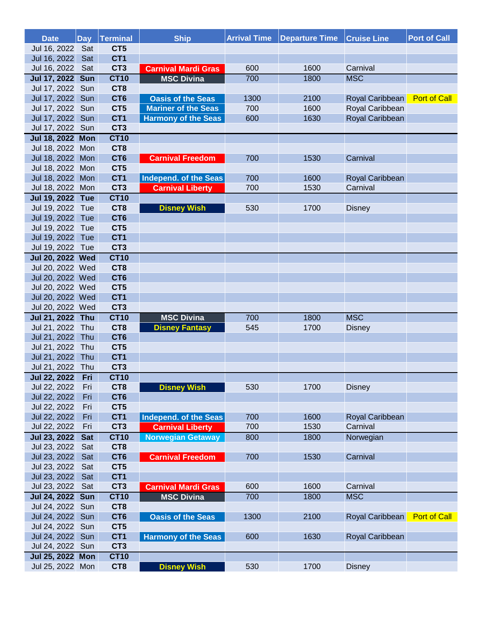| <b>Date</b>         | <b>Day</b> | Terminal        | <b>Ship</b>                | <b>Arrival Time</b> | <b>Departure Time</b> | <b>Cruise Line</b> | <b>Port of Call</b> |
|---------------------|------------|-----------------|----------------------------|---------------------|-----------------------|--------------------|---------------------|
| Jul 16, 2022        | Sat        | CT5             |                            |                     |                       |                    |                     |
| Jul 16, 2022        | Sat        | CT <sub>1</sub> |                            |                     |                       |                    |                     |
| Jul 16, 2022        | Sat        | CT <sub>3</sub> | <b>Carnival Mardi Gras</b> | 600                 | 1600                  | Carnival           |                     |
| <b>Jul 17, 2022</b> | <b>Sun</b> | <b>CT10</b>     | <b>MSC Divina</b>          | 700                 | 1800                  | <b>MSC</b>         |                     |
| Jul 17, 2022        | Sun        | CT8             |                            |                     |                       |                    |                     |
| Jul 17, 2022        | Sun        | CT <sub>6</sub> | <b>Oasis of the Seas</b>   | 1300                | 2100                  | Royal Caribbean    | <b>Port of Call</b> |
| Jul 17, 2022        | Sun        | CT <sub>5</sub> | <b>Mariner of the Seas</b> | 700                 | 1600                  | Royal Caribbean    |                     |
| Jul 17, 2022        | Sun        | CT <sub>1</sub> | <b>Harmony of the Seas</b> | 600                 | 1630                  | Royal Caribbean    |                     |
| Jul 17, 2022 Sun    |            | CT <sub>3</sub> |                            |                     |                       |                    |                     |
| Jul 18, 2022 Mon    |            | <b>CT10</b>     |                            |                     |                       |                    |                     |
| Jul 18, 2022 Mon    |            | CT <sub>8</sub> |                            |                     |                       |                    |                     |
| Jul 18, 2022        | Mon        | CT <sub>6</sub> | <b>Carnival Freedom</b>    | 700                 | 1530                  | Carnival           |                     |
| Jul 18, 2022 Mon    |            | CT5             |                            |                     |                       |                    |                     |
| Jul 18, 2022        | Mon        | CT <sub>1</sub> | Independ. of the Seas      | 700                 | 1600                  | Royal Caribbean    |                     |
| Jul 18, 2022        | Mon        | CT <sub>3</sub> | <b>Carnival Liberty</b>    | 700                 | 1530                  | Carnival           |                     |
| Jul 19, 2022 Tue    |            | <b>CT10</b>     |                            |                     |                       |                    |                     |
| Jul 19, 2022 Tue    |            | CT <sub>8</sub> | <b>Disney Wish</b>         | 530                 | 1700                  | <b>Disney</b>      |                     |
| Jul 19, 2022        | Tue        | CT <sub>6</sub> |                            |                     |                       |                    |                     |
| Jul 19, 2022        | Tue        | CT5             |                            |                     |                       |                    |                     |
| Jul 19, 2022        | Tue        | CT <sub>1</sub> |                            |                     |                       |                    |                     |
| Jul 19, 2022 Tue    |            | CT <sub>3</sub> |                            |                     |                       |                    |                     |
| Jul 20, 2022 Wed    |            | <b>CT10</b>     |                            |                     |                       |                    |                     |
| Jul 20, 2022 Wed    |            | CT8             |                            |                     |                       |                    |                     |
| Jul 20, 2022 Wed    |            | CT <sub>6</sub> |                            |                     |                       |                    |                     |
| Jul 20, 2022 Wed    |            | CT5             |                            |                     |                       |                    |                     |
| Jul 20, 2022 Wed    |            | CT <sub>1</sub> |                            |                     |                       |                    |                     |
| Jul 20, 2022 Wed    |            | CT <sub>3</sub> |                            |                     |                       |                    |                     |
| Jul 21, 2022 Thu    |            | <b>CT10</b>     | <b>MSC Divina</b>          | 700                 | 1800                  | <b>MSC</b>         |                     |
| Jul 21, 2022        | Thu        | CT <sub>8</sub> | <b>Disney Fantasy</b>      | 545                 | 1700                  | <b>Disney</b>      |                     |
| Jul 21, 2022        | Thu        | CT <sub>6</sub> |                            |                     |                       |                    |                     |
| Jul 21, 2022        | Thu        | CT5             |                            |                     |                       |                    |                     |
| Jul 21, 2022        | Thu        | CT <sub>1</sub> |                            |                     |                       |                    |                     |
| Jul 21, 2022        | Thu        | CT <sub>3</sub> |                            |                     |                       |                    |                     |
| <b>Jul 22, 2022</b> | Fri        | <b>CT10</b>     |                            |                     |                       |                    |                     |
| Jul 22, 2022        | Fri        | CT <sub>8</sub> | <b>Disney Wish</b>         | 530                 | 1700                  | <b>Disney</b>      |                     |
| Jul 22, 2022        | Fri        | CT <sub>6</sub> |                            |                     |                       |                    |                     |
| Jul 22, 2022        | Fri        | CT5             |                            |                     |                       |                    |                     |
| Jul 22, 2022        | Fri        | CT <sub>1</sub> | Independ. of the Seas      | 700                 | 1600                  | Royal Caribbean    |                     |
| Jul 22, 2022        | Fri        | CT <sub>3</sub> | <b>Carnival Liberty</b>    | 700                 | 1530                  | Carnival           |                     |
| <b>Jul 23, 2022</b> | <b>Sat</b> | <b>CT10</b>     | <b>Norwegian Getaway</b>   | 800                 | 1800                  | Norwegian          |                     |
| Jul 23, 2022        | Sat        | CT <sub>8</sub> |                            |                     |                       |                    |                     |
| Jul 23, 2022        | Sat        | CT <sub>6</sub> | <b>Carnival Freedom</b>    | 700                 | 1530                  | Carnival           |                     |
| Jul 23, 2022        | Sat        | CT5             |                            |                     |                       |                    |                     |
| Jul 23, 2022        | Sat        | CT <sub>1</sub> |                            |                     |                       |                    |                     |
| Jul 23, 2022        | Sat        | CT <sub>3</sub> | <b>Carnival Mardi Gras</b> | 600                 | 1600                  | Carnival           |                     |
| Jul 24, 2022 Sun    |            | <b>CT10</b>     | <b>MSC Divina</b>          | 700                 | 1800                  | <b>MSC</b>         |                     |
| Jul 24, 2022 Sun    |            | CT <sub>8</sub> |                            |                     |                       |                    |                     |
| Jul 24, 2022        | Sun        | CT <sub>6</sub> | <b>Oasis of the Seas</b>   | 1300                | 2100                  | Royal Caribbean    | <b>Port of Call</b> |
| Jul 24, 2022        | Sun        | CT <sub>5</sub> |                            |                     |                       |                    |                     |
| Jul 24, 2022        | Sun        | CT <sub>1</sub> | <b>Harmony of the Seas</b> | 600                 | 1630                  | Royal Caribbean    |                     |
| Jul 24, 2022        | Sun        | CT <sub>3</sub> |                            |                     |                       |                    |                     |
| Jul 25, 2022 Mon    |            | <b>CT10</b>     |                            |                     |                       |                    |                     |
| Jul 25, 2022 Mon    |            | CT <sub>8</sub> | <b>Disney Wish</b>         | 530                 | 1700                  | <b>Disney</b>      |                     |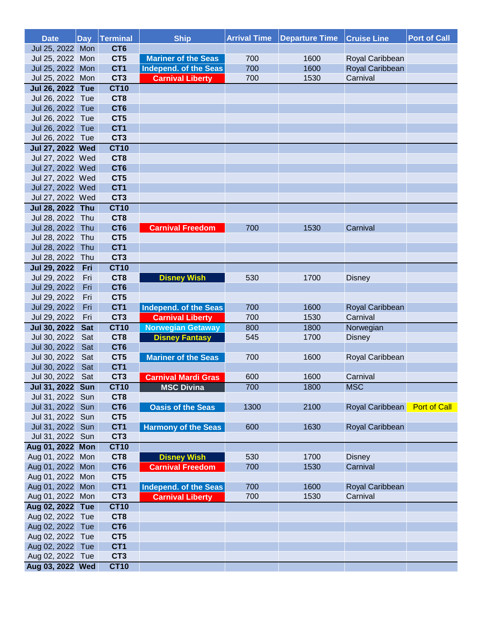| <b>Date</b>         | <b>Day</b> | Terminal        | <b>Ship</b>                | <b>Arrival Time</b> | <b>Departure Time</b> | <b>Cruise Line</b> | <b>Port of Call</b> |
|---------------------|------------|-----------------|----------------------------|---------------------|-----------------------|--------------------|---------------------|
| Jul 25, 2022 Mon    |            | CT <sub>6</sub> |                            |                     |                       |                    |                     |
| Jul 25, 2022 Mon    |            | CT <sub>5</sub> | <b>Mariner of the Seas</b> | 700                 | 1600                  | Royal Caribbean    |                     |
| Jul 25, 2022 Mon    |            | CT <sub>1</sub> | Independ. of the Seas      | 700                 | 1600                  | Royal Caribbean    |                     |
| Jul 25, 2022 Mon    |            | CT <sub>3</sub> | <b>Carnival Liberty</b>    | 700                 | 1530                  | Carnival           |                     |
| Jul 26, 2022 Tue    |            | <b>CT10</b>     |                            |                     |                       |                    |                     |
| Jul 26, 2022 Tue    |            | CT <sub>8</sub> |                            |                     |                       |                    |                     |
| Jul 26, 2022 Tue    |            | CT <sub>6</sub> |                            |                     |                       |                    |                     |
| Jul 26, 2022 Tue    |            | CT5             |                            |                     |                       |                    |                     |
| Jul 26, 2022        | Tue        | CT <sub>1</sub> |                            |                     |                       |                    |                     |
| Jul 26, 2022 Tue    |            | CT <sub>3</sub> |                            |                     |                       |                    |                     |
| Jul 27, 2022 Wed    |            | <b>CT10</b>     |                            |                     |                       |                    |                     |
| Jul 27, 2022 Wed    |            | CT <sub>8</sub> |                            |                     |                       |                    |                     |
| Jul 27, 2022 Wed    |            | CT <sub>6</sub> |                            |                     |                       |                    |                     |
| Jul 27, 2022 Wed    |            | CT5             |                            |                     |                       |                    |                     |
| Jul 27, 2022 Wed    |            | CT <sub>1</sub> |                            |                     |                       |                    |                     |
| Jul 27, 2022 Wed    |            | CT <sub>3</sub> |                            |                     |                       |                    |                     |
| Jul 28, 2022 Thu    |            | <b>CT10</b>     |                            |                     |                       |                    |                     |
| Jul 28, 2022 Thu    |            | CT <sub>8</sub> |                            |                     |                       |                    |                     |
| Jul 28, 2022 Thu    |            | CT <sub>6</sub> | <b>Carnival Freedom</b>    | 700                 | 1530                  | Carnival           |                     |
| Jul 28, 2022 Thu    |            | CT5             |                            |                     |                       |                    |                     |
| Jul 28, 2022        | Thu        | CT <sub>1</sub> |                            |                     |                       |                    |                     |
| Jul 28, 2022        | Thu        | CT <sub>3</sub> |                            |                     |                       |                    |                     |
|                     | Fri        | <b>CT10</b>     |                            |                     |                       |                    |                     |
| <b>Jul 29, 2022</b> |            |                 |                            |                     |                       |                    |                     |
| Jul 29, 2022        | Fri        | CT <sub>8</sub> | <b>Disney Wish</b>         | 530                 | 1700                  | <b>Disney</b>      |                     |
| Jul 29, 2022        | Fri        | CT <sub>6</sub> |                            |                     |                       |                    |                     |
| Jul 29, 2022        | Fri        | CT5             |                            |                     |                       |                    |                     |
| Jul 29, 2022        | Fri        | CT <sub>1</sub> | Independ. of the Seas      | 700                 | 1600                  | Royal Caribbean    |                     |
| Jul 29, 2022        | Fri        | CT <sub>3</sub> | <b>Carnival Liberty</b>    | 700                 | 1530                  | Carnival           |                     |
| <b>Jul 30, 2022</b> | <b>Sat</b> | <b>CT10</b>     | <b>Norwegian Getaway</b>   | 800                 | 1800                  | Norwegian          |                     |
| Jul 30, 2022        | Sat        | CT <sub>8</sub> | <b>Disney Fantasy</b>      | 545                 | 1700                  | <b>Disney</b>      |                     |
| Jul 30, 2022        | Sat        | CT <sub>6</sub> |                            |                     |                       |                    |                     |
| Jul 30, 2022        | Sat        | CT5             | <b>Mariner of the Seas</b> | 700                 | 1600                  | Royal Caribbean    |                     |
| Jul 30, 2022        | Sat        | CT <sub>1</sub> |                            |                     |                       |                    |                     |
| Jul 30, 2022 Sat    |            | CT <sub>3</sub> | <b>Carnival Mardi Gras</b> | 600                 | 1600                  | Carnival           |                     |
| Jul 31, 2022 Sun    |            | <b>CT10</b>     | <b>MSC Divina</b>          | 700                 | 1800                  | <b>MSC</b>         |                     |
| Jul 31, 2022 Sun    |            | CT8             |                            |                     |                       |                    |                     |
| Jul 31, 2022 Sun    |            | CT <sub>6</sub> | <b>Oasis of the Seas</b>   | 1300                | 2100                  | Royal Caribbean    | <b>Port of Call</b> |
| Jul 31, 2022 Sun    |            | CT5             |                            |                     |                       |                    |                     |
| Jul 31, 2022 Sun    |            | CT <sub>1</sub> | <b>Harmony of the Seas</b> | 600                 | 1630                  | Royal Caribbean    |                     |
| Jul 31, 2022 Sun    |            | CT <sub>3</sub> |                            |                     |                       |                    |                     |
| Aug 01, 2022 Mon    |            | <b>CT10</b>     |                            |                     |                       |                    |                     |
| Aug 01, 2022 Mon    |            | CT <sub>8</sub> | <b>Disney Wish</b>         | 530                 | 1700                  | <b>Disney</b>      |                     |
| Aug 01, 2022        | Mon        | CT <sub>6</sub> | <b>Carnival Freedom</b>    | 700                 | 1530                  | Carnival           |                     |
| Aug 01, 2022 Mon    |            | CT5             |                            |                     |                       |                    |                     |
| Aug 01, 2022 Mon    |            | CT1             | Independ. of the Seas      | 700                 | 1600                  | Royal Caribbean    |                     |
| Aug 01, 2022 Mon    |            | CT <sub>3</sub> | <b>Carnival Liberty</b>    | 700                 | 1530                  | Carnival           |                     |
| Aug 02, 2022 Tue    |            | <b>CT10</b>     |                            |                     |                       |                    |                     |
| Aug 02, 2022 Tue    |            | CT <sub>8</sub> |                            |                     |                       |                    |                     |
| Aug 02, 2022        | Tue        | CT <sub>6</sub> |                            |                     |                       |                    |                     |
| Aug 02, 2022        | Tue        | CT5             |                            |                     |                       |                    |                     |
| Aug 02, 2022        | Tue        | CT <sub>1</sub> |                            |                     |                       |                    |                     |
| Aug 02, 2022 Tue    |            | CT <sub>3</sub> |                            |                     |                       |                    |                     |
| Aug 03, 2022 Wed    |            | <b>CT10</b>     |                            |                     |                       |                    |                     |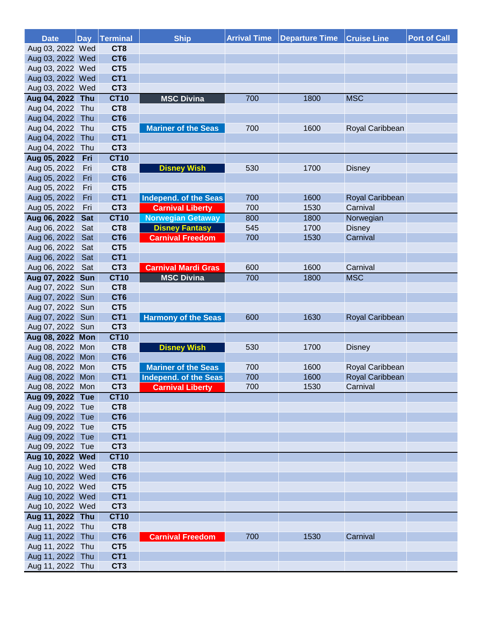| <b>Date</b>                          |            | Day Terminal                   | <b>Ship</b>                | <b>Arrival Time</b> | <b>Departure Time</b> | <b>Cruise Line</b> | <b>Port of Call</b> |
|--------------------------------------|------------|--------------------------------|----------------------------|---------------------|-----------------------|--------------------|---------------------|
| Aug 03, 2022 Wed                     |            | CT <sub>8</sub>                |                            |                     |                       |                    |                     |
| Aug 03, 2022 Wed                     |            | CT <sub>6</sub>                |                            |                     |                       |                    |                     |
| Aug 03, 2022 Wed                     |            | CT5                            |                            |                     |                       |                    |                     |
| Aug 03, 2022 Wed                     |            | CT <sub>1</sub>                |                            |                     |                       |                    |                     |
| Aug 03, 2022 Wed                     |            | CT <sub>3</sub>                |                            |                     |                       |                    |                     |
| Aug 04, 2022 Thu                     |            | <b>CT10</b>                    | <b>MSC Divina</b>          | 700                 | 1800                  | <b>MSC</b>         |                     |
| Aug 04, 2022 Thu                     |            | CT <sub>8</sub>                |                            |                     |                       |                    |                     |
| Aug 04, 2022                         | Thu        | CT <sub>6</sub>                |                            |                     |                       |                    |                     |
| Aug 04, 2022 Thu                     |            | CT <sub>5</sub>                | <b>Mariner of the Seas</b> | 700                 | 1600                  | Royal Caribbean    |                     |
| Aug 04, 2022                         | Thu        | CT <sub>1</sub>                |                            |                     |                       |                    |                     |
| Aug 04, 2022 Thu                     |            | CT <sub>3</sub>                |                            |                     |                       |                    |                     |
| Aug 05, 2022                         | Fri        | <b>CT10</b>                    |                            |                     |                       |                    |                     |
| Aug 05, 2022                         | Fri        | CT <sub>8</sub>                | <b>Disney Wish</b>         | 530                 | 1700                  | <b>Disney</b>      |                     |
| Aug 05, 2022                         | Fri        | CT <sub>6</sub>                |                            |                     |                       |                    |                     |
| Aug 05, 2022                         | Fri        | CT <sub>5</sub>                |                            |                     |                       |                    |                     |
| Aug 05, 2022                         | Fri        | CT <sub>1</sub>                | Independ. of the Seas      | 700                 | 1600                  | Royal Caribbean    |                     |
| Aug 05, 2022                         | Fri        | CT <sub>3</sub>                | <b>Carnival Liberty</b>    | 700                 | 1530                  | Carnival           |                     |
| Aug 06, 2022                         | <b>Sat</b> | <b>CT10</b>                    | <b>Norwegian Getaway</b>   | 800                 | 1800                  | Norwegian          |                     |
| Aug 06, 2022                         | Sat        | CT8                            | <b>Disney Fantasy</b>      | 545                 | 1700                  | <b>Disney</b>      |                     |
| Aug 06, 2022                         | Sat        | CT <sub>6</sub>                | <b>Carnival Freedom</b>    | 700                 | 1530                  | Carnival           |                     |
| Aug 06, 2022                         | Sat        | CT5                            |                            |                     |                       |                    |                     |
| Aug 06, 2022                         | Sat        | CT <sub>1</sub>                |                            |                     |                       |                    |                     |
| Aug 06, 2022                         | Sat        | CT <sub>3</sub>                | <b>Carnival Mardi Gras</b> | 600                 | 1600                  | Carnival           |                     |
| Aug 07, 2022 Sun                     |            | <b>CT10</b>                    | <b>MSC Divina</b>          | 700                 | 1800                  | <b>MSC</b>         |                     |
| Aug 07, 2022                         | Sun        | CT8                            |                            |                     |                       |                    |                     |
| Aug 07, 2022                         | Sun        | CT <sub>6</sub>                |                            |                     |                       |                    |                     |
| Aug 07, 2022                         | Sun        | CT <sub>5</sub>                |                            |                     |                       |                    |                     |
| Aug 07, 2022                         | Sun        | CT <sub>1</sub>                | <b>Harmony of the Seas</b> | 600                 | 1630                  | Royal Caribbean    |                     |
| Aug 07, 2022 Sun                     |            | CT <sub>3</sub>                |                            |                     |                       |                    |                     |
| Aug 08, 2022 Mon                     |            | <b>CT10</b>                    |                            |                     |                       |                    |                     |
| Aug 08, 2022 Mon                     |            | CT <sub>8</sub>                | <b>Disney Wish</b>         | 530                 | 1700                  | <b>Disney</b>      |                     |
| Aug 08, 2022 Mon                     |            | CT <sub>6</sub>                |                            |                     |                       |                    |                     |
| Aug 08, 2022 Mon                     |            | CT <sub>5</sub>                | <b>Mariner of the Seas</b> | 700                 | 1600                  | Royal Caribbean    |                     |
| Aug 08, 2022 Mon                     |            | CT <sub>1</sub>                | Independ. of the Seas      | 700                 | 1600                  | Royal Caribbean    |                     |
| Aug 08, 2022 Mon                     |            | CT <sub>3</sub>                | <b>Carnival Liberty</b>    | 700                 | 1530                  | Carnival           |                     |
| Aug 09, 2022 Tue                     |            | <b>CT10</b>                    |                            |                     |                       |                    |                     |
| Aug 09, 2022 Tue                     |            | CT <sub>8</sub>                |                            |                     |                       |                    |                     |
| Aug 09, 2022 Tue                     |            | CT <sub>6</sub>                |                            |                     |                       |                    |                     |
| Aug 09, 2022 Tue                     |            | CT5                            |                            |                     |                       |                    |                     |
| Aug 09, 2022 Tue                     |            | CT <sub>1</sub>                |                            |                     |                       |                    |                     |
| Aug 09, 2022 Tue<br>Aug 10, 2022 Wed |            | CT <sub>3</sub><br><b>CT10</b> |                            |                     |                       |                    |                     |
| Aug 10, 2022 Wed                     |            | CT <sub>8</sub>                |                            |                     |                       |                    |                     |
| Aug 10, 2022 Wed                     |            | CT <sub>6</sub>                |                            |                     |                       |                    |                     |
| Aug 10, 2022 Wed                     |            | CT <sub>5</sub>                |                            |                     |                       |                    |                     |
| Aug 10, 2022 Wed                     |            | CT <sub>1</sub>                |                            |                     |                       |                    |                     |
| Aug 10, 2022 Wed                     |            | CT <sub>3</sub>                |                            |                     |                       |                    |                     |
| Aug 11, 2022 Thu                     |            | <b>CT10</b>                    |                            |                     |                       |                    |                     |
| Aug 11, 2022 Thu                     |            | CT <sub>8</sub>                |                            |                     |                       |                    |                     |
| Aug 11, 2022 Thu                     |            | CT <sub>6</sub>                |                            | 700                 | 1530                  | Carnival           |                     |
| Aug 11, 2022 Thu                     |            | CT <sub>5</sub>                | <b>Carnival Freedom</b>    |                     |                       |                    |                     |
| Aug 11, 2022 Thu                     |            | CT <sub>1</sub>                |                            |                     |                       |                    |                     |
|                                      |            | CT <sub>3</sub>                |                            |                     |                       |                    |                     |
| Aug 11, 2022 Thu                     |            |                                |                            |                     |                       |                    |                     |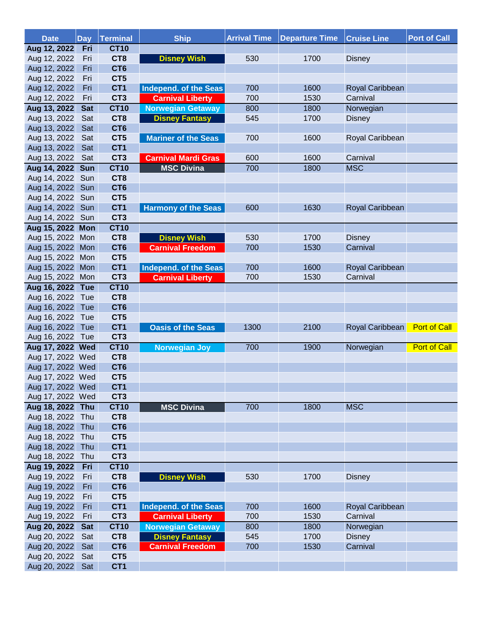| <b>Date</b>                          | <b>Day</b> | <b>Terminal</b>                    | <b>Ship</b>                | <b>Arrival Time</b> | <b>Departure Time</b> | <b>Cruise Line</b> | <b>Port of Call</b> |
|--------------------------------------|------------|------------------------------------|----------------------------|---------------------|-----------------------|--------------------|---------------------|
| Aug 12, 2022                         | Fri        | <b>CT10</b>                        |                            |                     |                       |                    |                     |
| Aug 12, 2022                         | Fri        | CT <sub>8</sub>                    | <b>Disney Wish</b>         | 530                 | 1700                  | <b>Disney</b>      |                     |
| Aug 12, 2022                         | Fri        | CT <sub>6</sub>                    |                            |                     |                       |                    |                     |
| Aug 12, 2022                         | Fri        | CT5                                |                            |                     |                       |                    |                     |
| Aug 12, 2022                         | Fri        | CT <sub>1</sub>                    | Independ. of the Seas      | 700                 | 1600                  | Royal Caribbean    |                     |
| Aug 12, 2022                         | Fri        | CT <sub>3</sub>                    | <b>Carnival Liberty</b>    | 700                 | 1530                  | Carnival           |                     |
| Aug 13, 2022                         | <b>Sat</b> | <b>CT10</b>                        | <b>Norwegian Getaway</b>   | 800                 | 1800                  | Norwegian          |                     |
| Aug 13, 2022                         | Sat        | CT <sub>8</sub>                    | <b>Disney Fantasy</b>      | 545                 | 1700                  | <b>Disney</b>      |                     |
| Aug 13, 2022                         | Sat        | CT <sub>6</sub>                    |                            |                     |                       |                    |                     |
| Aug 13, 2022                         | Sat        | CT5                                | <b>Mariner of the Seas</b> | 700                 | 1600                  | Royal Caribbean    |                     |
| Aug 13, 2022                         | Sat        | CT <sub>1</sub>                    |                            |                     |                       |                    |                     |
| Aug 13, 2022 Sat                     |            | CT <sub>3</sub>                    | <b>Carnival Mardi Gras</b> | 600                 | 1600                  | Carnival           |                     |
| Aug 14, 2022 Sun                     |            | <b>CT10</b>                        | <b>MSC Divina</b>          | 700                 | 1800                  | <b>MSC</b>         |                     |
| Aug 14, 2022 Sun                     |            | CT <sub>8</sub>                    |                            |                     |                       |                    |                     |
| Aug 14, 2022 Sun                     |            | CT <sub>6</sub>                    |                            |                     |                       |                    |                     |
| Aug 14, 2022 Sun                     |            | CT5                                |                            |                     |                       |                    |                     |
| Aug 14, 2022 Sun                     |            | CT <sub>1</sub>                    | <b>Harmony of the Seas</b> | 600                 | 1630                  | Royal Caribbean    |                     |
| Aug 14, 2022 Sun                     |            | CT <sub>3</sub>                    |                            |                     |                       |                    |                     |
| Aug 15, 2022 Mon                     |            | <b>CT10</b>                        |                            |                     |                       |                    |                     |
| Aug 15, 2022 Mon                     |            | CT8                                | <b>Disney Wish</b>         | 530                 | 1700                  | <b>Disney</b>      |                     |
| Aug 15, 2022 Mon                     |            | CT <sub>6</sub>                    | <b>Carnival Freedom</b>    | 700                 | 1530                  | Carnival           |                     |
| Aug 15, 2022 Mon                     |            | CT <sub>5</sub>                    |                            |                     |                       |                    |                     |
| Aug 15, 2022 Mon                     |            | CT <sub>1</sub>                    | Independ. of the Seas      | 700                 | 1600                  | Royal Caribbean    |                     |
| Aug 15, 2022 Mon                     |            | CT <sub>3</sub>                    | <b>Carnival Liberty</b>    | 700                 | 1530                  | Carnival           |                     |
| Aug 16, 2022 Tue                     |            | <b>CT10</b>                        |                            |                     |                       |                    |                     |
| Aug 16, 2022 Tue                     |            | CT <sub>8</sub>                    |                            |                     |                       |                    |                     |
| Aug 16, 2022 Tue                     |            | CT <sub>6</sub>                    |                            |                     |                       |                    |                     |
| Aug 16, 2022 Tue                     |            | CT <sub>5</sub><br>CT <sub>1</sub> |                            |                     |                       |                    | <b>Port of Call</b> |
| Aug 16, 2022 Tue<br>Aug 16, 2022 Tue |            | CT <sub>3</sub>                    | <b>Oasis of the Seas</b>   | 1300                | 2100                  | Royal Caribbean    |                     |
| Aug 17, 2022 Wed                     |            | <b>CT10</b>                        | <b>Norwegian Joy</b>       | 700                 | 1900                  | Norwegian          | <b>Port of Call</b> |
| Aug 17, 2022 Wed                     |            | CT8                                |                            |                     |                       |                    |                     |
| Aug 17, 2022 Wed                     |            | CT <sub>6</sub>                    |                            |                     |                       |                    |                     |
| Aug 17, 2022 Wed                     |            | CT5                                |                            |                     |                       |                    |                     |
| Aug 17, 2022 Wed                     |            | CT <sub>1</sub>                    |                            |                     |                       |                    |                     |
| Aug 17, 2022 Wed                     |            | CT <sub>3</sub>                    |                            |                     |                       |                    |                     |
| Aug 18, 2022 Thu                     |            | <b>CT10</b>                        | <b>MSC Divina</b>          | 700                 | 1800                  | <b>MSC</b>         |                     |
| Aug 18, 2022 Thu                     |            | CT8                                |                            |                     |                       |                    |                     |
| Aug 18, 2022 Thu                     |            | CT <sub>6</sub>                    |                            |                     |                       |                    |                     |
| Aug 18, 2022 Thu                     |            | CT <sub>5</sub>                    |                            |                     |                       |                    |                     |
| Aug 18, 2022 Thu                     |            | CT <sub>1</sub>                    |                            |                     |                       |                    |                     |
| Aug 18, 2022 Thu                     |            | CT <sub>3</sub>                    |                            |                     |                       |                    |                     |
| Aug 19, 2022                         | Fri        | <b>CT10</b>                        |                            |                     |                       |                    |                     |
| Aug 19, 2022                         | Fri        | CT <sub>8</sub>                    | <b>Disney Wish</b>         | 530                 | 1700                  | <b>Disney</b>      |                     |
| Aug 19, 2022                         | Fri        | CT <sub>6</sub>                    |                            |                     |                       |                    |                     |
| Aug 19, 2022                         | Fri        | CT5                                |                            |                     |                       |                    |                     |
| Aug 19, 2022                         | Fri        | CT <sub>1</sub>                    | Independ. of the Seas      | 700                 | 1600                  | Royal Caribbean    |                     |
| Aug 19, 2022                         | Fri        | CT <sub>3</sub>                    | <b>Carnival Liberty</b>    | 700                 | 1530                  | Carnival           |                     |
| Aug 20, 2022                         | <b>Sat</b> | <b>CT10</b>                        | <b>Norwegian Getaway</b>   | 800                 | 1800                  | Norwegian          |                     |
| Aug 20, 2022                         | Sat        | CT <sub>8</sub>                    | <b>Disney Fantasy</b>      | 545                 | 1700                  | <b>Disney</b>      |                     |
| Aug 20, 2022                         | Sat        | CT <sub>6</sub>                    | <b>Carnival Freedom</b>    | 700                 | 1530                  | Carnival           |                     |
| Aug 20, 2022                         | Sat        | CT5                                |                            |                     |                       |                    |                     |
| Aug 20, 2022 Sat                     |            | CT <sub>1</sub>                    |                            |                     |                       |                    |                     |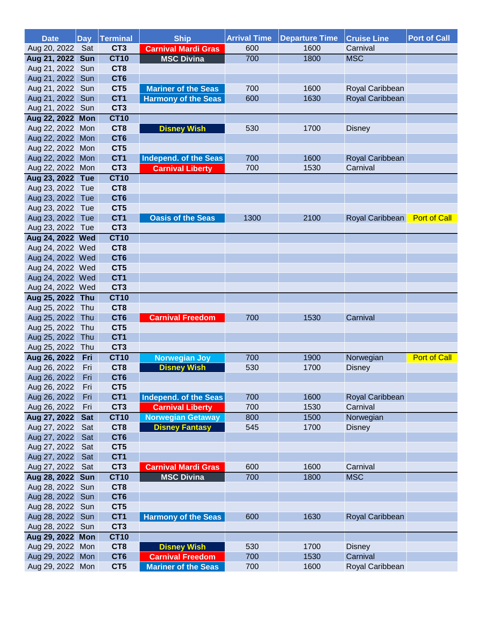| <b>Date</b>      |            | Day Terminal    | <b>Ship</b>                | <b>Arrival Time</b> | <b>Departure Time</b> | <b>Cruise Line</b> | <b>Port of Call</b> |
|------------------|------------|-----------------|----------------------------|---------------------|-----------------------|--------------------|---------------------|
| Aug 20, 2022 Sat |            | CT <sub>3</sub> | <b>Carnival Mardi Gras</b> | 600                 | 1600                  | Carnival           |                     |
| Aug 21, 2022 Sun |            | <b>CT10</b>     | <b>MSC Divina</b>          | 700                 | 1800                  | <b>MSC</b>         |                     |
| Aug 21, 2022 Sun |            | CT <sub>8</sub> |                            |                     |                       |                    |                     |
| Aug 21, 2022     | Sun        | CT <sub>6</sub> |                            |                     |                       |                    |                     |
| Aug 21, 2022     | Sun        | CT <sub>5</sub> | <b>Mariner of the Seas</b> | 700                 | 1600                  | Royal Caribbean    |                     |
| Aug 21, 2022     | Sun        | CT <sub>1</sub> | <b>Harmony of the Seas</b> | 600                 | 1630                  | Royal Caribbean    |                     |
| Aug 21, 2022     | Sun        | CT <sub>3</sub> |                            |                     |                       |                    |                     |
| Aug 22, 2022 Mon |            | <b>CT10</b>     |                            |                     |                       |                    |                     |
| Aug 22, 2022 Mon |            | CT <sub>8</sub> | <b>Disney Wish</b>         | 530                 | 1700                  | <b>Disney</b>      |                     |
| Aug 22, 2022 Mon |            | CT <sub>6</sub> |                            |                     |                       |                    |                     |
| Aug 22, 2022 Mon |            | CT <sub>5</sub> |                            |                     |                       |                    |                     |
| Aug 22, 2022 Mon |            | CT <sub>1</sub> | Independ. of the Seas      | 700                 | 1600                  | Royal Caribbean    |                     |
| Aug 22, 2022 Mon |            | CT <sub>3</sub> | <b>Carnival Liberty</b>    | 700                 | 1530                  | Carnival           |                     |
| Aug 23, 2022 Tue |            | <b>CT10</b>     |                            |                     |                       |                    |                     |
| Aug 23, 2022 Tue |            | CT <sub>8</sub> |                            |                     |                       |                    |                     |
| Aug 23, 2022 Tue |            | CT <sub>6</sub> |                            |                     |                       |                    |                     |
| Aug 23, 2022 Tue |            | CT <sub>5</sub> |                            |                     |                       |                    |                     |
| Aug 23, 2022 Tue |            | CT <sub>1</sub> | <b>Oasis of the Seas</b>   | 1300                | 2100                  | Royal Caribbean    | <b>Port of Call</b> |
| Aug 23, 2022 Tue |            | CT <sub>3</sub> |                            |                     |                       |                    |                     |
| Aug 24, 2022 Wed |            | <b>CT10</b>     |                            |                     |                       |                    |                     |
| Aug 24, 2022 Wed |            | CT <sub>8</sub> |                            |                     |                       |                    |                     |
| Aug 24, 2022 Wed |            | CT <sub>6</sub> |                            |                     |                       |                    |                     |
| Aug 24, 2022 Wed |            | CT <sub>5</sub> |                            |                     |                       |                    |                     |
| Aug 24, 2022 Wed |            | CT <sub>1</sub> |                            |                     |                       |                    |                     |
| Aug 24, 2022 Wed |            | CT <sub>3</sub> |                            |                     |                       |                    |                     |
| Aug 25, 2022 Thu |            | <b>CT10</b>     |                            |                     |                       |                    |                     |
| Aug 25, 2022 Thu |            | CT <sub>8</sub> |                            |                     |                       |                    |                     |
| Aug 25, 2022 Thu |            | CT <sub>6</sub> | <b>Carnival Freedom</b>    | 700                 | 1530                  | Carnival           |                     |
| Aug 25, 2022 Thu |            | CT <sub>5</sub> |                            |                     |                       |                    |                     |
| Aug 25, 2022     | Thu        | CT <sub>1</sub> |                            |                     |                       |                    |                     |
| Aug 25, 2022     | Thu        | CT <sub>3</sub> |                            |                     |                       |                    |                     |
| Aug 26, 2022     | Fri        | <b>CT10</b>     | <b>Norwegian Joy</b>       | 700                 | 1900                  | Norwegian          | <b>Port of Call</b> |
| Aug 26, 2022     | Fri        | CT <sub>8</sub> | <b>Disney Wish</b>         | 530                 | 1700                  | <b>Disney</b>      |                     |
| Aug 26, 2022     | Fri        | CT <sub>6</sub> |                            |                     |                       |                    |                     |
| Aug 26, 2022     | Fri        | CT <sub>5</sub> |                            |                     |                       |                    |                     |
| Aug 26, 2022     | Fri        | CT <sub>1</sub> | Independ. of the Seas      | 700                 | 1600                  | Royal Caribbean    |                     |
| Aug 26, 2022     | Fri        | CT <sub>3</sub> | <b>Carnival Liberty</b>    | 700                 | 1530                  | Carnival           |                     |
| Aug 27, 2022     | <b>Sat</b> | <b>CT10</b>     | <b>Norwegian Getaway</b>   | 800                 | 1500                  | Norwegian          |                     |
| Aug 27, 2022     | Sat        | CT8             | <b>Disney Fantasy</b>      | 545                 | 1700                  | <b>Disney</b>      |                     |
| Aug 27, 2022     | Sat        | CT <sub>6</sub> |                            |                     |                       |                    |                     |
| Aug 27, 2022     | Sat        | CT <sub>5</sub> |                            |                     |                       |                    |                     |
| Aug 27, 2022     | Sat        | CT <sub>1</sub> |                            |                     |                       |                    |                     |
| Aug 27, 2022     | Sat        | CT <sub>3</sub> | <b>Carnival Mardi Gras</b> | 600                 | 1600                  | Carnival           |                     |
| Aug 28, 2022 Sun |            | <b>CT10</b>     | <b>MSC Divina</b>          | 700                 | 1800                  | <b>MSC</b>         |                     |
| Aug 28, 2022 Sun |            | CT <sub>8</sub> |                            |                     |                       |                    |                     |
| Aug 28, 2022 Sun |            | CT <sub>6</sub> |                            |                     |                       |                    |                     |
| Aug 28, 2022 Sun |            | CT <sub>5</sub> |                            |                     |                       |                    |                     |
| Aug 28, 2022 Sun |            | CT <sub>1</sub> | <b>Harmony of the Seas</b> | 600                 | 1630                  | Royal Caribbean    |                     |
| Aug 28, 2022 Sun |            | CT <sub>3</sub> |                            |                     |                       |                    |                     |
| Aug 29, 2022 Mon |            | <b>CT10</b>     |                            |                     |                       |                    |                     |
| Aug 29, 2022 Mon |            | CT <sub>8</sub> | <b>Disney Wish</b>         | 530                 | 1700                  | <b>Disney</b>      |                     |
| Aug 29, 2022     | Mon        | CT <sub>6</sub> | <b>Carnival Freedom</b>    | 700                 | 1530                  | Carnival           |                     |
| Aug 29, 2022 Mon |            | CT5             | <b>Mariner of the Seas</b> | 700                 | 1600                  | Royal Caribbean    |                     |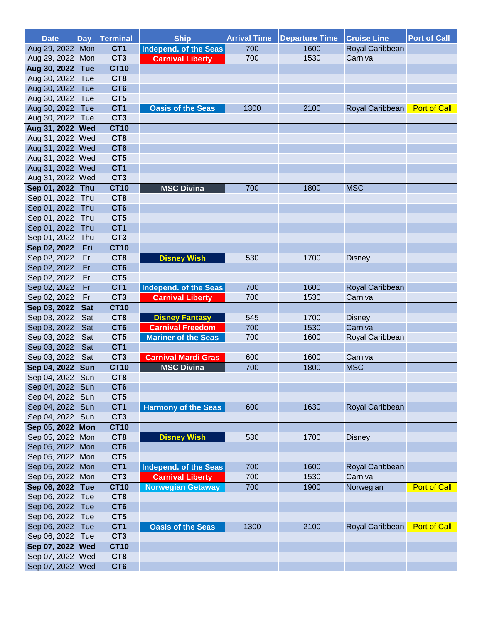| <b>Date</b>                          |            | Day Terminal                       | <b>Ship</b>                  | <b>Arrival Time</b> | <b>Departure Time</b> | <b>Cruise Line</b> | <b>Port of Call</b> |
|--------------------------------------|------------|------------------------------------|------------------------------|---------------------|-----------------------|--------------------|---------------------|
| Aug 29, 2022 Mon                     |            | CT <sub>1</sub>                    | <b>Independ. of the Seas</b> | 700                 | 1600                  | Royal Caribbean    |                     |
| Aug 29, 2022 Mon                     |            | CT <sub>3</sub>                    | <b>Carnival Liberty</b>      | 700                 | 1530                  | Carnival           |                     |
| Aug 30, 2022 Tue                     |            | <b>CT10</b>                        |                              |                     |                       |                    |                     |
| Aug 30, 2022 Tue                     |            | CT <sub>8</sub>                    |                              |                     |                       |                    |                     |
| Aug 30, 2022 Tue                     |            | CT <sub>6</sub>                    |                              |                     |                       |                    |                     |
| Aug 30, 2022 Tue                     |            | CT5                                |                              |                     |                       |                    |                     |
| Aug 30, 2022 Tue                     |            | CT <sub>1</sub>                    | <b>Oasis of the Seas</b>     | 1300                | 2100                  | Royal Caribbean    | <b>Port of Call</b> |
| Aug 30, 2022 Tue                     |            | CT <sub>3</sub>                    |                              |                     |                       |                    |                     |
| Aug 31, 2022 Wed                     |            | <b>CT10</b>                        |                              |                     |                       |                    |                     |
| Aug 31, 2022 Wed                     |            | CT <sub>8</sub>                    |                              |                     |                       |                    |                     |
| Aug 31, 2022 Wed                     |            | CT <sub>6</sub>                    |                              |                     |                       |                    |                     |
| Aug 31, 2022 Wed                     |            | CT <sub>5</sub>                    |                              |                     |                       |                    |                     |
| Aug 31, 2022 Wed                     |            | CT <sub>1</sub>                    |                              |                     |                       |                    |                     |
| Aug 31, 2022 Wed                     |            | CT <sub>3</sub>                    |                              |                     |                       |                    |                     |
| Sep 01, 2022 Thu                     |            | <b>CT10</b>                        | <b>MSC Divina</b>            | 700                 | 1800                  | <b>MSC</b>         |                     |
| Sep 01, 2022 Thu                     |            | CT <sub>8</sub>                    |                              |                     |                       |                    |                     |
| Sep 01, 2022                         | Thu        | CT <sub>6</sub>                    |                              |                     |                       |                    |                     |
| Sep 01, 2022 Thu                     |            | CT <sub>5</sub><br>CT <sub>1</sub> |                              |                     |                       |                    |                     |
| Sep 01, 2022                         | Thu        | CT <sub>3</sub>                    |                              |                     |                       |                    |                     |
| Sep 01, 2022 Thu<br>Sep 02, 2022     | Fri        | <b>CT10</b>                        |                              |                     |                       |                    |                     |
| Sep 02, 2022                         | Fri        | CT <sub>8</sub>                    | <b>Disney Wish</b>           | 530                 | 1700                  | <b>Disney</b>      |                     |
| Sep 02, 2022                         | Fri        | CT <sub>6</sub>                    |                              |                     |                       |                    |                     |
| Sep 02, 2022                         | Fri        | CT5                                |                              |                     |                       |                    |                     |
| Sep 02, 2022                         | Fri        | CT <sub>1</sub>                    | Independ. of the Seas        | 700                 | 1600                  | Royal Caribbean    |                     |
| Sep 02, 2022                         | Fri        | CT <sub>3</sub>                    | <b>Carnival Liberty</b>      | 700                 | 1530                  | Carnival           |                     |
| Sep 03, 2022                         | <b>Sat</b> | <b>CT10</b>                        |                              |                     |                       |                    |                     |
| Sep 03, 2022                         | Sat        | CT <sub>8</sub>                    | <b>Disney Fantasy</b>        | 545                 | 1700                  | <b>Disney</b>      |                     |
| Sep 03, 2022                         | Sat        | CT <sub>6</sub>                    | <b>Carnival Freedom</b>      | 700                 | 1530                  | Carnival           |                     |
| Sep 03, 2022                         | Sat        | CT <sub>5</sub>                    | <b>Mariner of the Seas</b>   | 700                 | 1600                  | Royal Caribbean    |                     |
| Sep 03, 2022                         | Sat        | CT <sub>1</sub>                    |                              |                     |                       |                    |                     |
| Sep 03, 2022                         | Sat        | CT <sub>3</sub>                    | <b>Carnival Mardi Gras</b>   | 600                 | 1600                  | Carnival           |                     |
| Sep 04, 2022                         | <b>Sun</b> | <b>CT10</b>                        | <b>MSC Divina</b>            | 700                 | 1800                  | <b>MSC</b>         |                     |
| Sep 04, 2022 Sun                     |            | CT <sub>8</sub>                    |                              |                     |                       |                    |                     |
| Sep 04, 2022 Sun                     |            | CT <sub>6</sub>                    |                              |                     |                       |                    |                     |
| Sep 04, 2022 Sun                     |            | CT <sub>5</sub>                    |                              |                     |                       |                    |                     |
| Sep 04, 2022 Sun                     |            | CT <sub>1</sub>                    | <b>Harmony of the Seas</b>   | 600                 | 1630                  | Royal Caribbean    |                     |
| Sep 04, 2022 Sun                     |            | CT <sub>3</sub>                    |                              |                     |                       |                    |                     |
| Sep 05, 2022 Mon                     |            | <b>CT10</b>                        |                              |                     |                       |                    |                     |
| Sep 05, 2022 Mon                     |            | CT <sub>8</sub>                    | <b>Disney Wish</b>           | 530                 | 1700                  | <b>Disney</b>      |                     |
| Sep 05, 2022 Mon                     |            | CT <sub>6</sub>                    |                              |                     |                       |                    |                     |
| Sep 05, 2022 Mon                     |            | CT <sub>5</sub>                    |                              |                     |                       |                    |                     |
| Sep 05, 2022 Mon                     |            | CT <sub>1</sub>                    | Independ. of the Seas        | 700                 | 1600                  | Royal Caribbean    |                     |
| Sep 05, 2022 Mon                     |            | CT <sub>3</sub>                    | <b>Carnival Liberty</b>      | 700                 | 1530                  | Carnival           |                     |
| Sep 06, 2022 Tue                     |            | <b>CT10</b>                        | <b>Norwegian Getaway</b>     | 700                 | 1900                  | Norwegian          | <b>Port of Call</b> |
| Sep 06, 2022 Tue<br>Sep 06, 2022 Tue |            | CT <sub>8</sub><br>CT <sub>6</sub> |                              |                     |                       |                    |                     |
| Sep 06, 2022 Tue                     |            | CT <sub>5</sub>                    |                              |                     |                       |                    |                     |
| Sep 06, 2022 Tue                     |            | CT <sub>1</sub>                    | <b>Oasis of the Seas</b>     | 1300                | 2100                  | Royal Caribbean    | <b>Port of Call</b> |
| Sep 06, 2022 Tue                     |            | CT <sub>3</sub>                    |                              |                     |                       |                    |                     |
| Sep 07, 2022 Wed                     |            | <b>CT10</b>                        |                              |                     |                       |                    |                     |
| Sep 07, 2022 Wed                     |            | CT8                                |                              |                     |                       |                    |                     |
| Sep 07, 2022 Wed                     |            | CT <sub>6</sub>                    |                              |                     |                       |                    |                     |
|                                      |            |                                    |                              |                     |                       |                    |                     |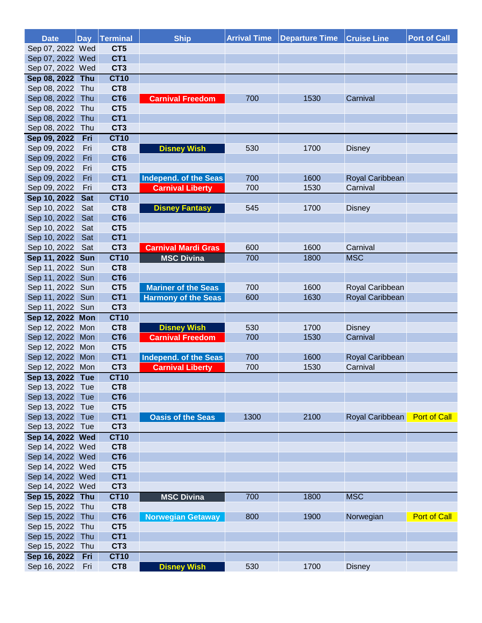| Sep 07, 2022 Wed<br>CT5<br>CT <sub>1</sub><br>Sep 07, 2022 Wed<br>Sep 07, 2022 Wed<br>CT <sub>3</sub><br>Sep 08, 2022 Thu<br><b>CT10</b><br>Sep 08, 2022 Thu<br>CT <sub>8</sub><br>Sep 08, 2022<br>CT <sub>6</sub><br>Thu<br>700<br><b>Carnival Freedom</b><br>1530<br>Carnival<br>CT5<br>Sep 08, 2022<br>Thu<br>Sep 08, 2022<br>CT <sub>1</sub><br>Thu<br>Sep 08, 2022<br>CT <sub>3</sub><br>Thu<br>Sep 09, 2022<br>Fri<br><b>CT10</b> |
|-----------------------------------------------------------------------------------------------------------------------------------------------------------------------------------------------------------------------------------------------------------------------------------------------------------------------------------------------------------------------------------------------------------------------------------------|
|                                                                                                                                                                                                                                                                                                                                                                                                                                         |
|                                                                                                                                                                                                                                                                                                                                                                                                                                         |
|                                                                                                                                                                                                                                                                                                                                                                                                                                         |
|                                                                                                                                                                                                                                                                                                                                                                                                                                         |
|                                                                                                                                                                                                                                                                                                                                                                                                                                         |
|                                                                                                                                                                                                                                                                                                                                                                                                                                         |
|                                                                                                                                                                                                                                                                                                                                                                                                                                         |
|                                                                                                                                                                                                                                                                                                                                                                                                                                         |
|                                                                                                                                                                                                                                                                                                                                                                                                                                         |
|                                                                                                                                                                                                                                                                                                                                                                                                                                         |
| Sep 09, 2022<br>Fri<br>CT <sub>8</sub><br><b>Disney Wish</b><br>530<br>1700<br><b>Disney</b>                                                                                                                                                                                                                                                                                                                                            |
| CT <sub>6</sub><br>Sep 09, 2022<br>Fri                                                                                                                                                                                                                                                                                                                                                                                                  |
| Sep 09, 2022<br>CT5<br>Fri                                                                                                                                                                                                                                                                                                                                                                                                              |
| CT <sub>1</sub><br>Sep 09, 2022<br>Fri<br>Independ. of the Seas<br>700<br>1600<br>Royal Caribbean                                                                                                                                                                                                                                                                                                                                       |
| CT <sub>3</sub><br>Carnival<br>Sep 09, 2022<br>Fri<br><b>Carnival Liberty</b><br>700<br>1530                                                                                                                                                                                                                                                                                                                                            |
| Sep 10, 2022<br><b>CT10</b><br><b>Sat</b>                                                                                                                                                                                                                                                                                                                                                                                               |
| Sep 10, 2022<br>Sat<br>CT <sub>8</sub><br>545<br>1700<br><b>Disney Fantasy</b><br><b>Disney</b>                                                                                                                                                                                                                                                                                                                                         |
| CT <sub>6</sub><br>Sep 10, 2022<br>Sat                                                                                                                                                                                                                                                                                                                                                                                                  |
| Sep 10, 2022<br>Sat<br>CT5                                                                                                                                                                                                                                                                                                                                                                                                              |
| CT <sub>1</sub><br>Sep 10, 2022<br>Sat<br>Sep 10, 2022<br>CT <sub>3</sub><br>600<br>1600<br>Carnival                                                                                                                                                                                                                                                                                                                                    |
| Sat<br><b>Carnival Mardi Gras</b><br><b>CT10</b><br><b>MSC Divina</b><br><b>MSC</b><br>700<br>1800                                                                                                                                                                                                                                                                                                                                      |
| Sep 11, 2022 Sun<br>Sep 11, 2022<br>Sun<br>CT <sub>8</sub>                                                                                                                                                                                                                                                                                                                                                                              |
| CT <sub>6</sub><br>Sep 11, 2022<br>Sun                                                                                                                                                                                                                                                                                                                                                                                                  |
| CT5<br>Sep 11, 2022<br><b>Mariner of the Seas</b><br>700<br>Sun<br>1600<br>Royal Caribbean                                                                                                                                                                                                                                                                                                                                              |
| Sep 11, 2022<br>CT <sub>1</sub><br><b>Harmony of the Seas</b><br>Royal Caribbean<br>Sun<br>600<br>1630                                                                                                                                                                                                                                                                                                                                  |
| CT <sub>3</sub><br>Sep 11, 2022<br>Sun                                                                                                                                                                                                                                                                                                                                                                                                  |
| Sep 12, 2022 Mon<br><b>CT10</b>                                                                                                                                                                                                                                                                                                                                                                                                         |
| CT <sub>8</sub><br>Sep 12, 2022 Mon<br>530<br>1700<br><b>Disney Wish</b><br><b>Disney</b>                                                                                                                                                                                                                                                                                                                                               |
| CT <sub>6</sub><br>Sep 12, 2022 Mon<br><b>Carnival Freedom</b><br>Carnival<br>700<br>1530                                                                                                                                                                                                                                                                                                                                               |
| Sep 12, 2022 Mon<br>CT <sub>5</sub>                                                                                                                                                                                                                                                                                                                                                                                                     |
| CT <sub>1</sub><br>Sep 12, 2022 Mon<br>700<br>Independ. of the Seas<br>1600<br>Royal Caribbean                                                                                                                                                                                                                                                                                                                                          |
| CT <sub>3</sub><br>Sep 12, 2022 Mon<br>700<br>1530<br>Carnival<br><b>Carnival Liberty</b>                                                                                                                                                                                                                                                                                                                                               |
| <b>CT10</b><br>Sep 13, 2022 Tue                                                                                                                                                                                                                                                                                                                                                                                                         |
| CT <sub>8</sub><br>Sep 13, 2022 Tue                                                                                                                                                                                                                                                                                                                                                                                                     |
| Sep 13, 2022 Tue<br>CT <sub>6</sub>                                                                                                                                                                                                                                                                                                                                                                                                     |
| CT5<br>Sep 13, 2022 Tue                                                                                                                                                                                                                                                                                                                                                                                                                 |
| CT <sub>1</sub><br>Sep 13, 2022 Tue<br>1300<br>2100<br>Royal Caribbean<br><b>Port of Call</b><br><b>Oasis of the Seas</b>                                                                                                                                                                                                                                                                                                               |
| Sep 13, 2022 Tue<br>CT <sub>3</sub>                                                                                                                                                                                                                                                                                                                                                                                                     |
| Sep 14, 2022 Wed<br><b>CT10</b>                                                                                                                                                                                                                                                                                                                                                                                                         |
| Sep 14, 2022 Wed<br>CT8                                                                                                                                                                                                                                                                                                                                                                                                                 |
| Sep 14, 2022 Wed<br>CT <sub>6</sub>                                                                                                                                                                                                                                                                                                                                                                                                     |
| Sep 14, 2022 Wed<br>CT <sub>5</sub>                                                                                                                                                                                                                                                                                                                                                                                                     |
| Sep 14, 2022 Wed<br>CT <sub>1</sub>                                                                                                                                                                                                                                                                                                                                                                                                     |
| Sep 14, 2022 Wed<br>CT <sub>3</sub>                                                                                                                                                                                                                                                                                                                                                                                                     |
| Sep 15, 2022 Thu<br><b>CT10</b><br>700<br>1800<br><b>MSC</b><br><b>MSC Divina</b>                                                                                                                                                                                                                                                                                                                                                       |
| Sep 15, 2022 Thu<br>CT8                                                                                                                                                                                                                                                                                                                                                                                                                 |
| Sep 15, 2022 Thu<br>CT <sub>6</sub><br><b>Norwegian Getaway</b><br>800<br>1900<br><b>Port of Call</b><br>Norwegian                                                                                                                                                                                                                                                                                                                      |
| Sep 15, 2022 Thu<br>CT <sub>5</sub><br>CT <sub>1</sub><br>Sep 15, 2022 Thu                                                                                                                                                                                                                                                                                                                                                              |
| CT <sub>3</sub><br>Sep 15, 2022 Thu                                                                                                                                                                                                                                                                                                                                                                                                     |
| Sep 16, 2022<br><b>CT10</b><br>Fri                                                                                                                                                                                                                                                                                                                                                                                                      |
| Sep 16, 2022<br>CT8<br>530<br>Fri<br><b>Disney Wish</b><br>1700<br><b>Disney</b>                                                                                                                                                                                                                                                                                                                                                        |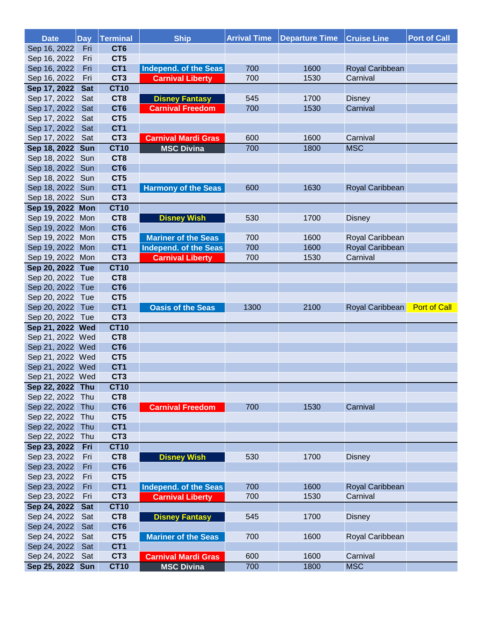| <b>Date</b>      | <b>Day</b> | Terminal        | <b>Ship</b>                | <b>Arrival Time</b> | <b>Departure Time</b> | <b>Cruise Line</b> | <b>Port of Call</b> |
|------------------|------------|-----------------|----------------------------|---------------------|-----------------------|--------------------|---------------------|
| Sep 16, 2022     | Fri        | CT <sub>6</sub> |                            |                     |                       |                    |                     |
| Sep 16, 2022     | Fri        | CT5             |                            |                     |                       |                    |                     |
| Sep 16, 2022     | Fri        | CT <sub>1</sub> | Independ. of the Seas      | 700                 | 1600                  | Royal Caribbean    |                     |
| Sep 16, 2022     | Fri        | CT <sub>3</sub> | <b>Carnival Liberty</b>    | 700                 | 1530                  | Carnival           |                     |
| Sep 17, 2022     | <b>Sat</b> | <b>CT10</b>     |                            |                     |                       |                    |                     |
| Sep 17, 2022     | Sat        | CT <sub>8</sub> | <b>Disney Fantasy</b>      | 545                 | 1700                  | <b>Disney</b>      |                     |
| Sep 17, 2022     | Sat        | CT <sub>6</sub> | <b>Carnival Freedom</b>    | 700                 | 1530                  | Carnival           |                     |
| Sep 17, 2022     | Sat        | CT <sub>5</sub> |                            |                     |                       |                    |                     |
| Sep 17, 2022     | Sat        | CT <sub>1</sub> |                            |                     |                       |                    |                     |
| Sep 17, 2022 Sat |            | CT <sub>3</sub> | <b>Carnival Mardi Gras</b> | 600                 | 1600                  | Carnival           |                     |
| Sep 18, 2022 Sun |            | <b>CT10</b>     | <b>MSC Divina</b>          | 700                 | 1800                  | <b>MSC</b>         |                     |
| Sep 18, 2022     | Sun        | CT8             |                            |                     |                       |                    |                     |
| Sep 18, 2022     | Sun        | CT <sub>6</sub> |                            |                     |                       |                    |                     |
| Sep 18, 2022     | Sun        | CT5             |                            |                     |                       |                    |                     |
| Sep 18, 2022 Sun |            | CT <sub>1</sub> | <b>Harmony of the Seas</b> | 600                 | 1630                  | Royal Caribbean    |                     |
| Sep 18, 2022 Sun |            | CT <sub>3</sub> |                            |                     |                       |                    |                     |
| Sep 19, 2022 Mon |            | <b>CT10</b>     |                            |                     |                       |                    |                     |
| Sep 19, 2022 Mon |            | CT <sub>8</sub> | <b>Disney Wish</b>         | 530                 | 1700                  | <b>Disney</b>      |                     |
| Sep 19, 2022 Mon |            | CT <sub>6</sub> |                            |                     |                       |                    |                     |
| Sep 19, 2022 Mon |            | CT <sub>5</sub> | <b>Mariner of the Seas</b> | 700                 | 1600                  | Royal Caribbean    |                     |
| Sep 19, 2022 Mon |            | CT <sub>1</sub> | Independ. of the Seas      | 700                 | 1600                  | Royal Caribbean    |                     |
| Sep 19, 2022 Mon |            | CT <sub>3</sub> | <b>Carnival Liberty</b>    | 700                 | 1530                  | Carnival           |                     |
| Sep 20, 2022 Tue |            | <b>CT10</b>     |                            |                     |                       |                    |                     |
| Sep 20, 2022 Tue |            | CT8             |                            |                     |                       |                    |                     |
| Sep 20, 2022 Tue |            | CT <sub>6</sub> |                            |                     |                       |                    |                     |
| Sep 20, 2022 Tue |            | CT <sub>5</sub> |                            |                     |                       |                    |                     |
| Sep 20, 2022 Tue |            | CT <sub>1</sub> | <b>Oasis of the Seas</b>   | 1300                | 2100                  | Royal Caribbean    | <b>Port of Call</b> |
| Sep 20, 2022 Tue |            | CT <sub>3</sub> |                            |                     |                       |                    |                     |
| Sep 21, 2022 Wed |            | <b>CT10</b>     |                            |                     |                       |                    |                     |
| Sep 21, 2022 Wed |            | CT <sub>8</sub> |                            |                     |                       |                    |                     |
| Sep 21, 2022 Wed |            | CT <sub>6</sub> |                            |                     |                       |                    |                     |
| Sep 21, 2022 Wed |            | CT <sub>5</sub> |                            |                     |                       |                    |                     |
| Sep 21, 2022 Wed |            | CT <sub>1</sub> |                            |                     |                       |                    |                     |
| Sep 21, 2022 Wed |            | CT <sub>3</sub> |                            |                     |                       |                    |                     |
| Sep 22, 2022 Thu |            | <b>CT10</b>     |                            |                     |                       |                    |                     |
| Sep 22, 2022 Thu |            | CT8             |                            |                     |                       |                    |                     |
| Sep 22, 2022 Thu |            | CT <sub>6</sub> | <b>Carnival Freedom</b>    | 700                 | 1530                  | Carnival           |                     |
| Sep 22, 2022 Thu |            | CT <sub>5</sub> |                            |                     |                       |                    |                     |
| Sep 22, 2022     | Thu        | CT <sub>1</sub> |                            |                     |                       |                    |                     |
| Sep 22, 2022     | Thu        | CT <sub>3</sub> |                            |                     |                       |                    |                     |
| Sep 23, 2022     | Fri        | <b>CT10</b>     |                            |                     |                       |                    |                     |
| Sep 23, 2022     | Fri        | CT <sub>8</sub> | <b>Disney Wish</b>         | 530                 | 1700                  | <b>Disney</b>      |                     |
| Sep 23, 2022     | Fri        | CT <sub>6</sub> |                            |                     |                       |                    |                     |
| Sep 23, 2022     | Fri        | CT <sub>5</sub> |                            |                     |                       |                    |                     |
| Sep 23, 2022     | Fri        | CT <sub>1</sub> | Independ. of the Seas      | 700                 | 1600                  | Royal Caribbean    |                     |
| Sep 23, 2022     | Fri        | CT <sub>3</sub> | <b>Carnival Liberty</b>    | 700                 | 1530                  | Carnival           |                     |
| Sep 24, 2022     | <b>Sat</b> | <b>CT10</b>     |                            |                     |                       |                    |                     |
| Sep 24, 2022     | Sat        | CT <sub>8</sub> | <b>Disney Fantasy</b>      | 545                 | 1700                  | <b>Disney</b>      |                     |
| Sep 24, 2022     | Sat        | CT <sub>6</sub> |                            |                     |                       |                    |                     |
| Sep 24, 2022     | Sat        | CT <sub>5</sub> | <b>Mariner of the Seas</b> | 700                 | 1600                  | Royal Caribbean    |                     |
| Sep 24, 2022     | Sat        | CT <sub>1</sub> |                            |                     |                       |                    |                     |
| Sep 24, 2022     | Sat        | CT <sub>3</sub> | <b>Carnival Mardi Gras</b> | 600                 | 1600                  | Carnival           |                     |
| Sep 25, 2022 Sun |            | <b>CT10</b>     | <b>MSC Divina</b>          | 700                 | 1800                  | <b>MSC</b>         |                     |